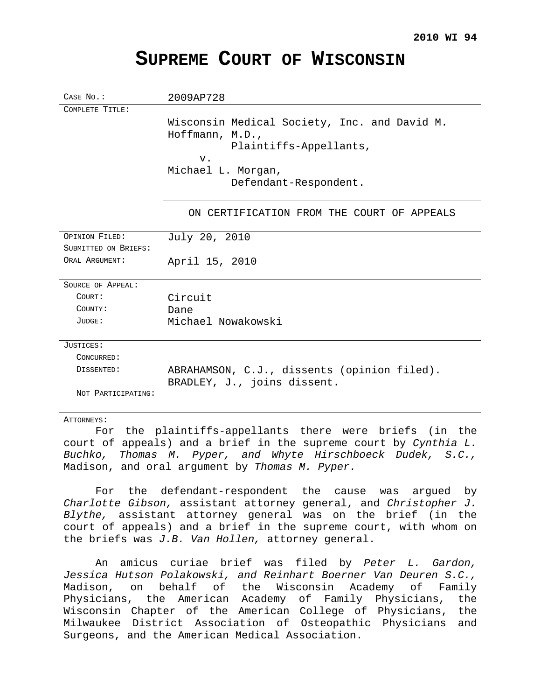# **SUPREME COURT OF WISCONSIN**

| CASE No.:            | 2009AP728                                                                                          |
|----------------------|----------------------------------------------------------------------------------------------------|
| COMPLETE TITLE:      |                                                                                                    |
|                      | Wisconsin Medical Society, Inc. and David M.<br>$H$ offmann, M.D.,<br>Plaintiffs-Appellants,<br>v. |
|                      | Michael L. Morgan,                                                                                 |
|                      | Defendant-Respondent.                                                                              |
|                      | ON CERTIFICATION FROM THE COURT OF APPEALS                                                         |
| OPINION FILED:       | July 20, 2010                                                                                      |
| SUBMITTED ON BRIEFS: |                                                                                                    |
| ORAL ARGUMENT:       | April 15, 2010                                                                                     |
| SOURCE OF APPEAL:    |                                                                                                    |
| COURT:               | Circuit                                                                                            |
| COUNTY:              | Dane                                                                                               |
| JUDGE:               | Michael Nowakowski                                                                                 |
| JUSTICES:            |                                                                                                    |
| CONCURRED:           |                                                                                                    |
| DISSENTED:           | ABRAHAMSON, C.J., dissents (opinion filed).                                                        |
|                      | BRADLEY, J., joins dissent.                                                                        |
| NOT PARTICIPATING:   |                                                                                                    |
| ATTORNEYS:           |                                                                                                    |

For the plaintiffs-appellants there were briefs (in the court of appeals) and a brief in the supreme court by Cynthia L. Buchko, Thomas M. Pyper, and Whyte Hirschboeck Dudek, S.C., Madison, and oral argument by Thomas M. Pyper.

For the defendant-respondent the cause was argued by Charlotte Gibson, assistant attorney general, and Christopher J. Blythe, assistant attorney general was on the brief (in the court of appeals) and a brief in the supreme court, with whom on the briefs was J.B. Van Hollen, attorney general.

An amicus curiae brief was filed by Peter L. Gardon, Jessica Hutson Polakowski, and Reinhart Boerner Van Deuren S.C., Madison, on behalf of the Wisconsin Academy of Family Physicians, the American Academy of Family Physicians, the Wisconsin Chapter of the American College of Physicians, the Milwaukee District Association of Osteopathic Physicians and Surgeons, and the American Medical Association.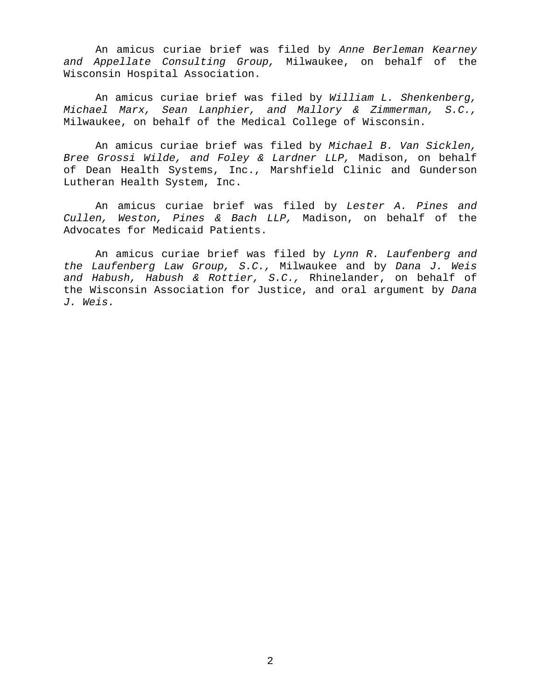An amicus curiae brief was filed by Anne Berleman Kearney and Appellate Consulting Group, Milwaukee, on behalf of the Wisconsin Hospital Association.

An amicus curiae brief was filed by William L. Shenkenberg, Michael Marx, Sean Lanphier, and Mallory & Zimmerman, S.C., Milwaukee, on behalf of the Medical College of Wisconsin.

An amicus curiae brief was filed by Michael B. Van Sicklen, Bree Grossi Wilde, and Foley & Lardner LLP, Madison, on behalf of Dean Health Systems, Inc., Marshfield Clinic and Gunderson Lutheran Health System, Inc.

An amicus curiae brief was filed by Lester A. Pines and Cullen, Weston, Pines & Bach LLP, Madison, on behalf of the Advocates for Medicaid Patients.

An amicus curiae brief was filed by Lynn R. Laufenberg and the Laufenberg Law Group, S.C., Milwaukee and by Dana J. Weis and Habush, Habush & Rottier,  $S.C.$ , Rhinelander, on behalf of the Wisconsin Association for Justice, and oral argument by Dana J. Weis.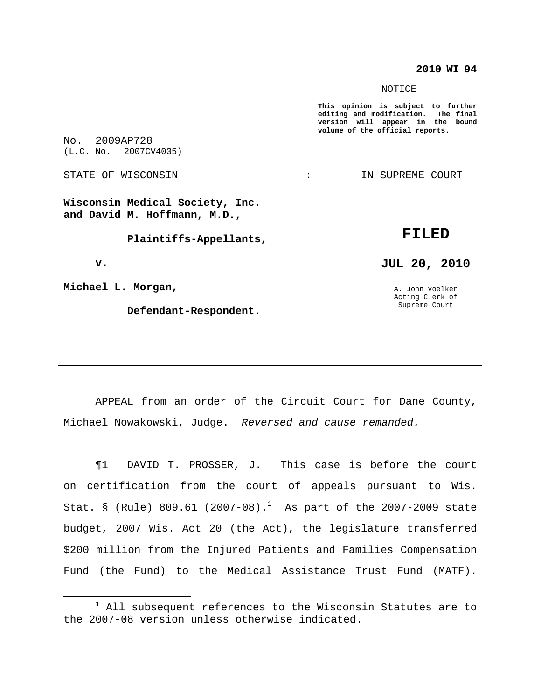### **2010 WI 94**

NOTICE

**This opinion is subject to further editing and modification. The final version will appear in the bound volume of the official reports.**

No. 2009AP728 (L.C. No. 2007CV4035)

STATE OF WISCONSIN THE RESERVE STATE OF WISCONSIN STATE OF THE SUPREME COURT

**Wisconsin Medical Society, Inc. and David M. Hoffmann, M.D.,**

**Plaintiffs-Appellants,**

**v.**

**Michael L. Morgan,**

**Defendant-Respondent.**

# **FILED**

**JUL 20, 2010**

A. John Voelker Acting Clerk of Supreme Court

APPEAL from an order of the Circuit Court for Dane County, Michael Nowakowski, Judge. Reversed and cause remanded.

¶1 DAVID T. PROSSER, J. This case is before the court on certification from the court of appeals pursuant to Wis. Stat. § (Rule)  $809.61$  (2007-08). $^1$  As part of the 2007-2009 state budget, 2007 Wis. Act 20 (the Act), the legislature transferred \$200 million from the Injured Patients and Families Compensation Fund (the Fund) to the Medical Assistance Trust Fund (MATF).

 $1$  All subsequent references to the Wisconsin Statutes are to the 2007-08 version unless otherwise indicated.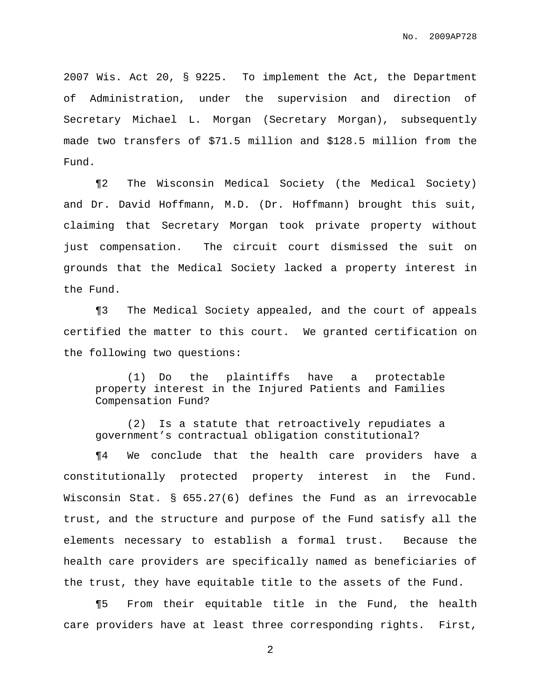2007 Wis. Act 20, § 9225. To implement the Act, the Department of Administration, under the supervision and direction of Secretary Michael L. Morgan (Secretary Morgan), subsequently made two transfers of \$71.5 million and \$128.5 million from the Fund.

¶2 The Wisconsin Medical Society (the Medical Society) and Dr. David Hoffmann, M.D. (Dr. Hoffmann) brought this suit, claiming that Secretary Morgan took private property without just compensation. The circuit court dismissed the suit on grounds that the Medical Society lacked a property interest in the Fund.

¶3 The Medical Society appealed, and the court of appeals certified the matter to this court. We granted certification on the following two questions:

(1) Do the plaintiffs have a protectable property interest in the Injured Patients and Families Compensation Fund?

(2) Is a statute that retroactively repudiates a government's contractual obligation constitutional?

¶4 We conclude that the health care providers have a constitutionally protected property interest in the Fund. Wisconsin Stat. § 655.27(6) defines the Fund as an irrevocable trust, and the structure and purpose of the Fund satisfy all the elements necessary to establish a formal trust. Because the health care providers are specifically named as beneficiaries of the trust, they have equitable title to the assets of the Fund.

¶5 From their equitable title in the Fund, the health care providers have at least three corresponding rights. First,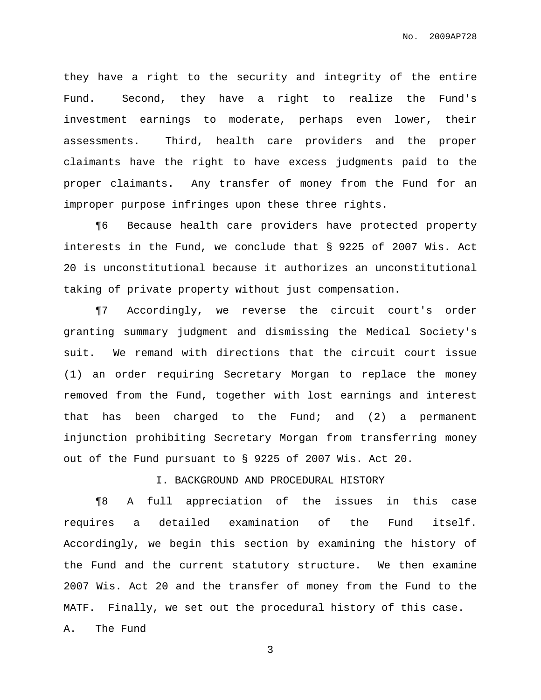they have a right to the security and integrity of the entire Fund. Second, they have a right to realize the Fund's investment earnings to moderate, perhaps even lower, their assessments. Third, health care providers and the proper claimants have the right to have excess judgments paid to the proper claimants. Any transfer of money from the Fund for an improper purpose infringes upon these three rights.

¶6 Because health care providers have protected property interests in the Fund, we conclude that § 9225 of 2007 Wis. Act 20 is unconstitutional because it authorizes an unconstitutional taking of private property without just compensation.

¶7 Accordingly, we reverse the circuit court's order granting summary judgment and dismissing the Medical Society's suit. We remand with directions that the circuit court issue (1) an order requiring Secretary Morgan to replace the money removed from the Fund, together with lost earnings and interest that has been charged to the Fund; and (2) a permanent injunction prohibiting Secretary Morgan from transferring money out of the Fund pursuant to § 9225 of 2007 Wis. Act 20.

I. BACKGROUND AND PROCEDURAL HISTORY

¶8 A full appreciation of the issues in this case requires a detailed examination of the Fund itself. Accordingly, we begin this section by examining the history of the Fund and the current statutory structure. We then examine 2007 Wis. Act 20 and the transfer of money from the Fund to the MATF. Finally, we set out the procedural history of this case. A. The Fund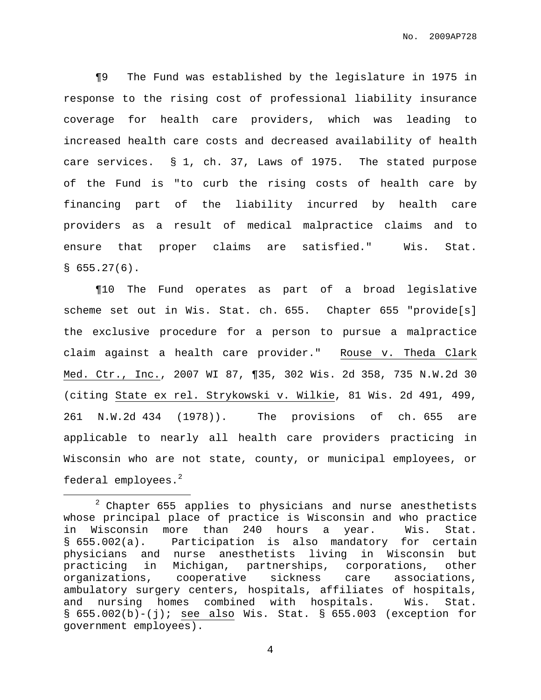¶9 The Fund was established by the legislature in 1975 in response to the rising cost of professional liability insurance coverage for health care providers, which was leading to increased health care costs and decreased availability of health care services. § 1, ch. 37, Laws of 1975. The stated purpose of the Fund is "to curb the rising costs of health care by financing part of the liability incurred by health care providers as a result of medical malpractice claims and to ensure that proper claims are satisfied." Wis. Stat.  $$655.27(6).$ 

¶10 The Fund operates as part of a broad legislative scheme set out in Wis. Stat. ch. 655. Chapter 655 "provide[s] the exclusive procedure for a person to pursue a malpractice claim against a health care provider." Rouse v. Theda Clark Med. Ctr., Inc., 2007 WI 87, ¶35, 302 Wis. 2d 358, 735 N.W.2d 30 (citing State ex rel. Strykowski v. Wilkie, 81 Wis. 2d 491, 499, 261 N.W.2d 434 (1978)). The provisions of ch. 655 are applicable to nearly all health care providers practicing in Wisconsin who are not state, county, or municipal employees, or federal employees. 2

 $2$  Chapter 655 applies to physicians and nurse anesthetists whose principal place of practice is Wisconsin and who practice in Wisconsin more than 240 hours a year. Wis. Stat. § 655.002(a). Participation is also mandatory for certain physicians and nurse anesthetists living in Wisconsin but practicing in Michigan, partnerships, corporations, other organizations, cooperative sickness care associations, ambulatory surgery centers, hospitals, affiliates of hospitals, and nursing homes combined with hospitals. Wis. Stat.  $\S$  655.002(b)-(j); see also Wis. Stat.  $\S$  655.003 (exception for government employees).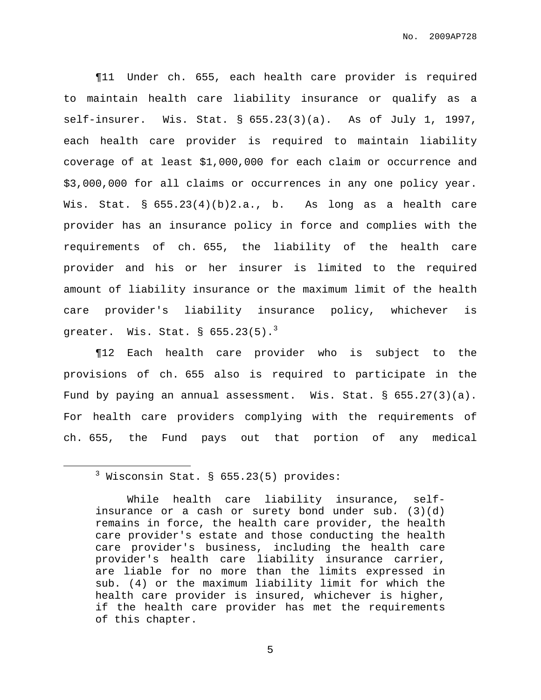¶11 Under ch. 655, each health care provider is required to maintain health care liability insurance or qualify as a self-insurer. Wis. Stat. § 655.23(3)(a). As of July 1, 1997, each health care provider is required to maintain liability coverage of at least \$1,000,000 for each claim or occurrence and \$3,000,000 for all claims or occurrences in any one policy year. Wis. Stat. §  $655.23(4)(b)2.a., b.$  As long as a health care provider has an insurance policy in force and complies with the requirements of ch. 655, the liability of the health care provider and his or her insurer is limited to the required amount of liability insurance or the maximum limit of the health care provider's liability insurance policy, whichever is greater. Wis. Stat. §  $655.23(5)$ . $^3$ 

¶12 Each health care provider who is subject to the provisions of ch. 655 also is required to participate in the Fund by paying an annual assessment. Wis. Stat. § 655.27(3)(a). For health care providers complying with the requirements of ch. 655, the Fund pays out that portion of any medical

 $3$  Wisconsin Stat. § 655.23(5) provides:

While health care liability insurance, selfinsurance or a cash or surety bond under sub.  $(3)(d)$ remains in force, the health care provider, the health care provider's estate and those conducting the health care provider's business, including the health care provider's health care liability insurance carrier, are liable for no more than the limits expressed in sub. (4) or the maximum liability limit for which the health care provider is insured, whichever is higher, if the health care provider has met the requirements of this chapter.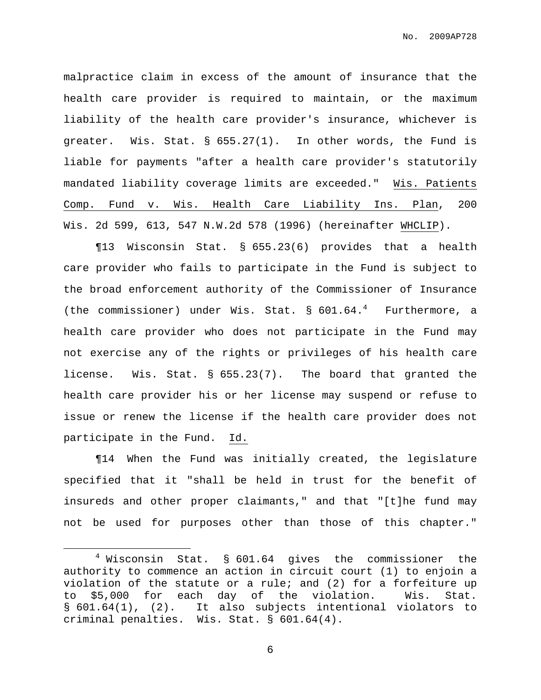malpractice claim in excess of the amount of insurance that the health care provider is required to maintain, or the maximum liability of the health care provider's insurance, whichever is greater. Wis. Stat. § 655.27(1). In other words, the Fund is liable for payments "after a health care provider's statutorily mandated liability coverage limits are exceeded." Wis. Patients Comp. Fund v. Wis. Health Care Liability Ins. Plan, 200 Wis. 2d 599, 613, 547 N.W.2d 578 (1996) (hereinafter WHCLIP).

¶13 Wisconsin Stat. § 655.23(6) provides that a health care provider who fails to participate in the Fund is subject to the broad enforcement authority of the Commissioner of Insurance (the commissioner) under Wis. Stat. § 601.64. <sup>4</sup> Furthermore, a health care provider who does not participate in the Fund may not exercise any of the rights or privileges of his health care license. Wis. Stat. § 655.23(7). The board that granted the health care provider his or her license may suspend or refuse to issue or renew the license if the health care provider does not participate in the Fund. Id.

¶14 When the Fund was initially created, the legislature specified that it "shall be held in trust for the benefit of insureds and other proper claimants," and that "[t]he fund may not be used for purposes other than those of this chapter."

 $4$  Wisconsin Stat. § 601.64 gives the commissioner the authority to commence an action in circuit court (1) to enjoin a violation of the statute or a rule; and (2) for a forfeiture up to \$5,000 for each day of the violation. Wis. Stat. § 601.64(1), (2). It also subjects intentional violators to criminal penalties. Wis. Stat. § 601.64(4).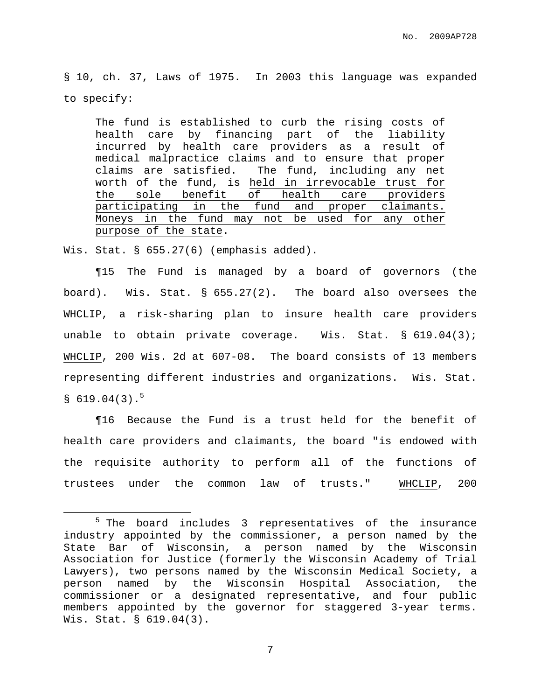§ 10, ch. 37, Laws of 1975. In 2003 this language was expanded to specify:

The fund is established to curb the rising costs of health care by financing part of the liability incurred by health care providers as a result of medical malpractice claims and to ensure that proper claims are satisfied. The fund, including any net worth of the fund, is held in irrevocable trust for the sole benefit of health care providers participating in the fund and proper claimants. Moneys in the fund may not be used for any other purpose of the state.

Wis. Stat. § 655.27(6) (emphasis added).

¶15 The Fund is managed by a board of governors (the board). Wis. Stat. § 655.27(2). The board also oversees the WHCLIP, a risk-sharing plan to insure health care providers unable to obtain private coverage. Wis. Stat. § 619.04(3); WHCLIP, 200 Wis. 2d at 607-08. The board consists of 13 members representing different industries and organizations. Wis. Stat.  $$619.04(3).$ <sup>5</sup>

¶16 Because the Fund is a trust held for the benefit of health care providers and claimants, the board "is endowed with the requisite authority to perform all of the functions of trustees under the common law of trusts." WHCLIP, 200

<sup>&</sup>lt;sup>5</sup> The board includes 3 representatives of the insurance industry appointed by the commissioner, a person named by the State Bar of Wisconsin, a person named by the Wisconsin Association for Justice (formerly the Wisconsin Academy of Trial Lawyers), two persons named by the Wisconsin Medical Society, a person named by the Wisconsin Hospital Association, the commissioner or a designated representative, and four public members appointed by the governor for staggered 3-year terms. Wis. Stat. § 619.04(3).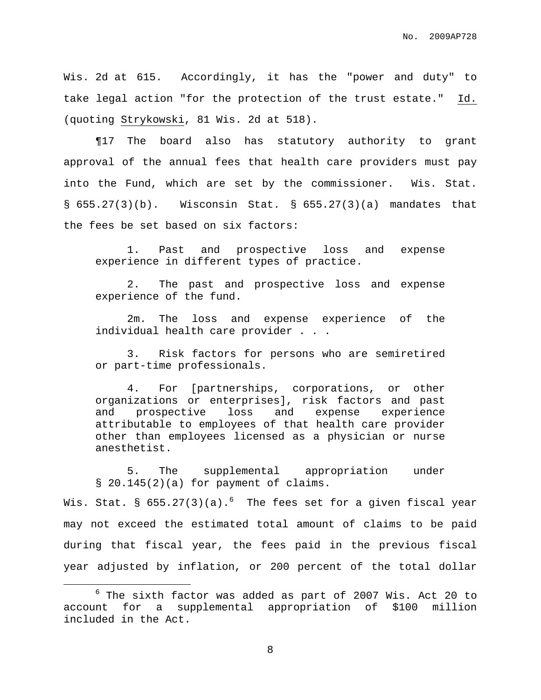Wis. 2d at 615. Accordingly, it has the "power and duty" to take legal action "for the protection of the trust estate." Id. (quoting Strykowski, 81 Wis. 2d at 518).

¶17 The board also has statutory authority to grant approval of the annual fees that health care providers must pay into the Fund, which are set by the commissioner. Wis. Stat. §  $655.27(3)(b)$ . Wisconsin Stat. §  $655.27(3)(a)$  mandates that the fees be set based on six factors:

1. Past and prospective loss and expense experience in different types of practice.

2. The past and prospective loss and expense experience of the fund.

2m. The loss and expense experience of the individual health care provider . . .

3. Risk factors for persons who are semiretired or part-time professionals.

4. For [partnerships, corporations, or other organizations or enterprises], risk factors and past and prospective loss and expense experience attributable to employees of that health care provider other than employees licensed as a physician or nurse anesthetist.

5. The supplemental appropriation under § 20.145(2)(a) for payment of claims.

Wis. Stat. §  $655.27(3)(a) . ^ 6$  The fees set for a given fiscal year may not exceed the estimated total amount of claims to be paid during that fiscal year, the fees paid in the previous fiscal year adjusted by inflation, or 200 percent of the total dollar

 $6$  The sixth factor was added as part of 2007 Wis. Act 20 to account for a supplemental appropriation of \$100 million included in the Act.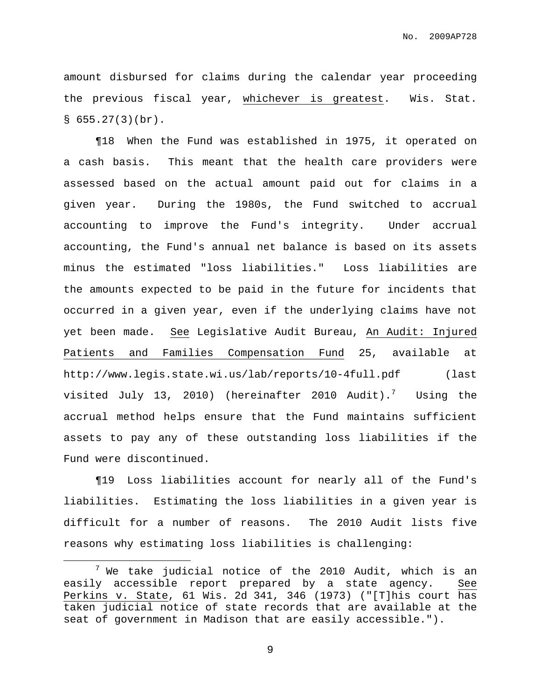amount disbursed for claims during the calendar year proceeding the previous fiscal year, whichever is greatest. Wis. Stat.  $§ 655.27(3)(br)$ .

¶18 When the Fund was established in 1975, it operated on a cash basis. This meant that the health care providers were assessed based on the actual amount paid out for claims in a given year. During the 1980s, the Fund switched to accrual accounting to improve the Fund's integrity. Under accrual accounting, the Fund's annual net balance is based on its assets minus the estimated "loss liabilities." Loss liabilities are the amounts expected to be paid in the future for incidents that occurred in a given year, even if the underlying claims have not yet been made. See Legislative Audit Bureau, An Audit: Injured Patients and Families Compensation Fund 25, available at http://www.legis.state.wi.us/lab/reports/10-4full.pdf (last visited July 13, 2010) (hereinafter 2010 Audit). $^7$  Using the accrual method helps ensure that the Fund maintains sufficient assets to pay any of these outstanding loss liabilities if the Fund were discontinued.

¶19 Loss liabilities account for nearly all of the Fund's liabilities. Estimating the loss liabilities in a given year is difficult for a number of reasons. The 2010 Audit lists five reasons why estimating loss liabilities is challenging:

 $7$  We take judicial notice of the 2010 Audit, which is an easily accessible report prepared by a state agency. See Perkins v. State, 61 Wis. 2d 341, 346 (1973) ("[T]his court has taken judicial notice of state records that are available at the seat of government in Madison that are easily accessible.").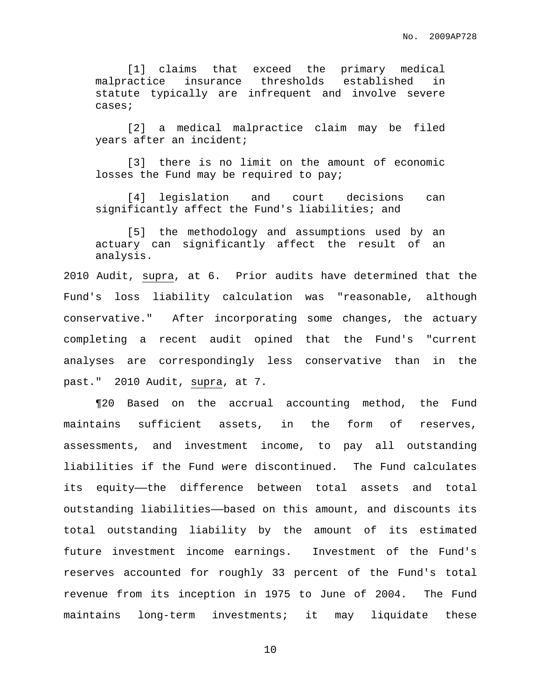[1] claims that exceed the primary medical malpractice insurance thresholds established in statute typically are infrequent and involve severe cases;

[2] a medical malpractice claim may be filed years after an incident;

[3] there is no limit on the amount of economic losses the Fund may be required to pay;

[4] legislation and court decisions can significantly affect the Fund's liabilities; and

[5] the methodology and assumptions used by an actuary can significantly affect the result of an analysis.

2010 Audit, supra, at 6. Prior audits have determined that the Fund's loss liability calculation was "reasonable, although conservative." After incorporating some changes, the actuary completing a recent audit opined that the Fund's "current analyses are correspondingly less conservative than in the past." 2010 Audit, supra, at 7.

¶20 Based on the accrual accounting method, the Fund maintains sufficient assets, in the form of reserves, assessments, and investment income, to pay all outstanding liabilities if the Fund were discontinued. The Fund calculates its equity—the difference between total assets and total outstanding liabilities——based on this amount, and discounts its total outstanding liability by the amount of its estimated future investment income earnings. Investment of the Fund's reserves accounted for roughly 33 percent of the Fund's total revenue from its inception in 1975 to June of 2004. The Fund maintains long-term investments; it may liquidate these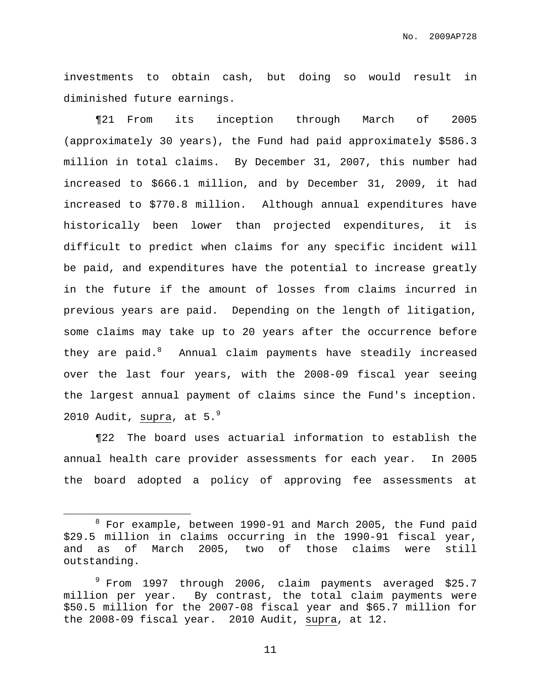investments to obtain cash, but doing so would result in diminished future earnings.

¶21 From its inception through March of 2005 (approximately 30 years), the Fund had paid approximately \$586.3 million in total claims. By December 31, 2007, this number had increased to \$666.1 million, and by December 31, 2009, it had increased to \$770.8 million. Although annual expenditures have historically been lower than projected expenditures, it is difficult to predict when claims for any specific incident will be paid, and expenditures have the potential to increase greatly in the future if the amount of losses from claims incurred in previous years are paid. Depending on the length of litigation, some claims may take up to 20 years after the occurrence before they are paid.<sup>8</sup> Annual claim payments have steadily increased over the last four years, with the 2008-09 fiscal year seeing the largest annual payment of claims since the Fund's inception. 2010 Audit, supra, at  $5.^9$ 

¶22 The board uses actuarial information to establish the annual health care provider assessments for each year. In 2005 the board adopted a policy of approving fee assessments at

 $8$  For example, between 1990-91 and March 2005, the Fund paid \$29.5 million in claims occurring in the 1990-91 fiscal year, and as of March 2005, two of those claims were still outstanding.

<sup>9</sup> From 1997 through 2006, claim payments averaged \$25.7 million per year. By contrast, the total claim payments were \$50.5 million for the 2007-08 fiscal year and \$65.7 million for the 2008-09 fiscal year. 2010 Audit, supra, at 12.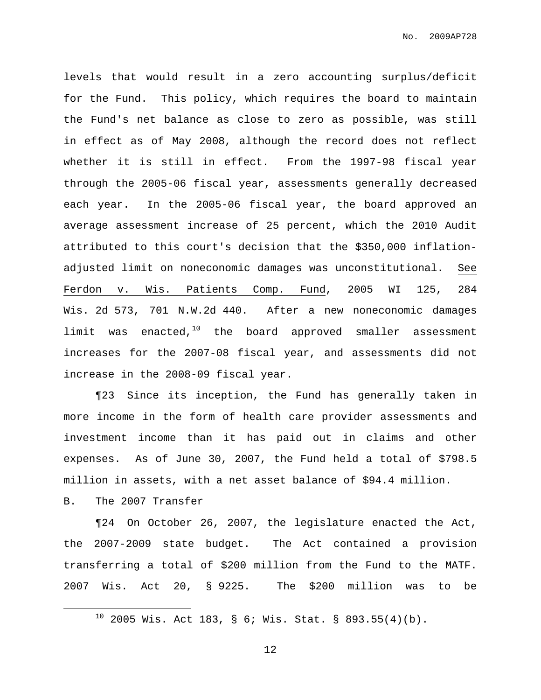levels that would result in a zero accounting surplus/deficit for the Fund. This policy, which requires the board to maintain the Fund's net balance as close to zero as possible, was still in effect as of May 2008, although the record does not reflect whether it is still in effect. From the 1997-98 fiscal year through the 2005-06 fiscal year, assessments generally decreased each year. In the 2005-06 fiscal year, the board approved an average assessment increase of 25 percent, which the 2010 Audit attributed to this court's decision that the \$350,000 inflationadjusted limit on noneconomic damages was unconstitutional. See Ferdon v. Wis. Patients Comp. Fund, 2005 WI 125, 284 Wis. 2d 573, 701 N.W.2d 440. After a new noneconomic damages limit was enacted,<sup>10</sup> the board approved smaller assessment increases for the 2007-08 fiscal year, and assessments did not increase in the 2008-09 fiscal year.

¶23 Since its inception, the Fund has generally taken in more income in the form of health care provider assessments and investment income than it has paid out in claims and other expenses. As of June 30, 2007, the Fund held a total of \$798.5 million in assets, with a net asset balance of \$94.4 million.

B. The 2007 Transfer

¶24 On October 26, 2007, the legislature enacted the Act, the 2007-2009 state budget. The Act contained a provision transferring a total of \$200 million from the Fund to the MATF. 2007 Wis. Act 20, § 9225. The \$200 million was to be

 $10$  2005 Wis. Act 183, § 6; Wis. Stat. § 893.55(4)(b).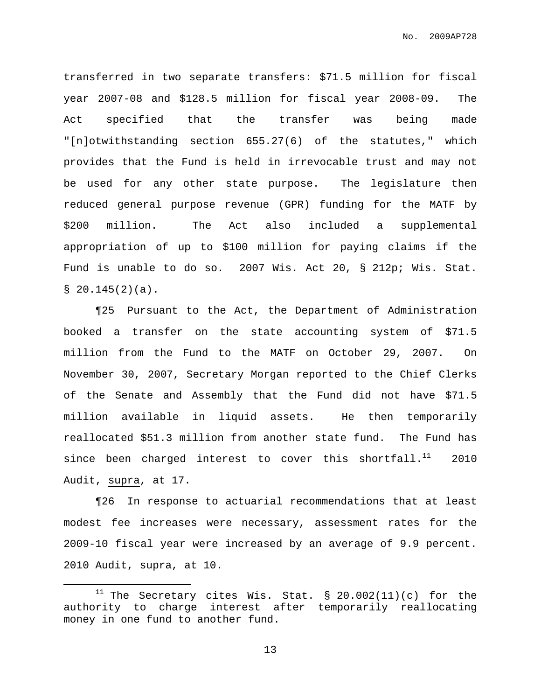transferred in two separate transfers: \$71.5 million for fiscal year 2007-08 and \$128.5 million for fiscal year 2008-09. The Act specified that the transfer was being made "[n]otwithstanding section 655.27(6) of the statutes," which provides that the Fund is held in irrevocable trust and may not be used for any other state purpose. The legislature then reduced general purpose revenue (GPR) funding for the MATF by \$200 million. The Act also included a supplemental appropriation of up to \$100 million for paying claims if the Fund is unable to do so. 2007 Wis. Act 20, § 212p; Wis. Stat.  $$20.145(2)(a).$ 

¶25 Pursuant to the Act, the Department of Administration booked a transfer on the state accounting system of \$71.5 million from the Fund to the MATF on October 29, 2007. On November 30, 2007, Secretary Morgan reported to the Chief Clerks of the Senate and Assembly that the Fund did not have \$71.5 million available in liquid assets. He then temporarily reallocated \$51.3 million from another state fund. The Fund has since been charged interest to cover this shortfall. $^{11}$  2010 Audit, supra, at 17.

¶26 In response to actuarial recommendations that at least modest fee increases were necessary, assessment rates for the 2009-10 fiscal year were increased by an average of 9.9 percent. 2010 Audit, supra, at 10.

 $11$  The Secretary cites Wis. Stat. § 20.002(11)(c) for the authority to charge interest after temporarily reallocating money in one fund to another fund.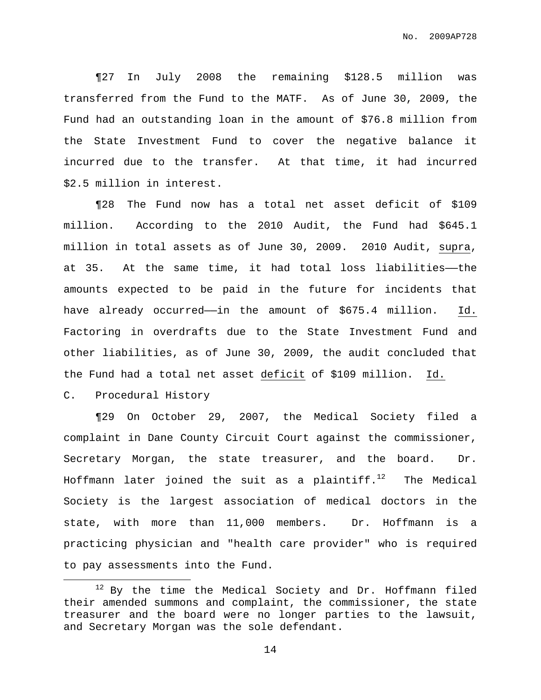¶27 In July 2008 the remaining \$128.5 million was transferred from the Fund to the MATF. As of June 30, 2009, the Fund had an outstanding loan in the amount of \$76.8 million from the State Investment Fund to cover the negative balance it incurred due to the transfer. At that time, it had incurred \$2.5 million in interest.

¶28 The Fund now has a total net asset deficit of \$109 million. According to the 2010 Audit, the Fund had \$645.1 million in total assets as of June 30, 2009. 2010 Audit, supra, at 35. At the same time, it had total loss liabilities-the amounts expected to be paid in the future for incidents that have already occurred—in the amount of \$675.4 million. Id. Factoring in overdrafts due to the State Investment Fund and other liabilities, as of June 30, 2009, the audit concluded that the Fund had a total net asset deficit of \$109 million. Id.

# C. Procedural History

¶29 On October 29, 2007, the Medical Society filed a complaint in Dane County Circuit Court against the commissioner, Secretary Morgan, the state treasurer, and the board. Dr. Hoffmann later joined the suit as a plaintiff. $^{12}$  The Medical Society is the largest association of medical doctors in the state, with more than 11,000 members. Dr. Hoffmann is a practicing physician and "health care provider" who is required to pay assessments into the Fund.

 $12$  By the time the Medical Society and Dr. Hoffmann filed their amended summons and complaint, the commissioner, the state treasurer and the board were no longer parties to the lawsuit, and Secretary Morgan was the sole defendant.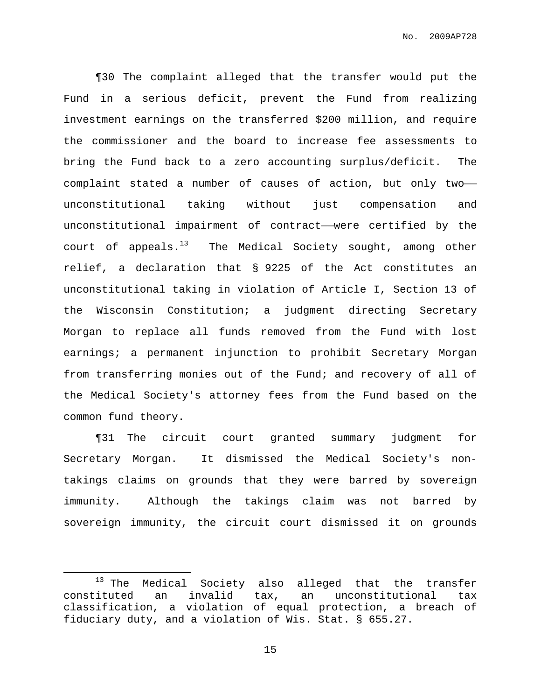¶30 The complaint alleged that the transfer would put the Fund in a serious deficit, prevent the Fund from realizing investment earnings on the transferred \$200 million, and require the commissioner and the board to increase fee assessments to bring the Fund back to a zero accounting surplus/deficit. The complaint stated a number of causes of action, but only two— unconstitutional taking without just compensation and unconstitutional impairment of contract——were certified by the court of appeals.<sup>13</sup> The Medical Society sought, among other relief, a declaration that § 9225 of the Act constitutes an unconstitutional taking in violation of Article I, Section 13 of the Wisconsin Constitution; a judgment directing Secretary Morgan to replace all funds removed from the Fund with lost earnings; a permanent injunction to prohibit Secretary Morgan from transferring monies out of the Fund; and recovery of all of the Medical Society's attorney fees from the Fund based on the common fund theory.

¶31 The circuit court granted summary judgment for Secretary Morgan. It dismissed the Medical Society's nontakings claims on grounds that they were barred by sovereign immunity. Although the takings claim was not barred by sovereign immunity, the circuit court dismissed it on grounds

<sup>&</sup>lt;sup>13</sup> The Medical Society also alleged that the transfer constituted an invalid tax, an unconstitutional tax classification, a violation of equal protection, a breach of fiduciary duty, and a violation of Wis. Stat. § 655.27.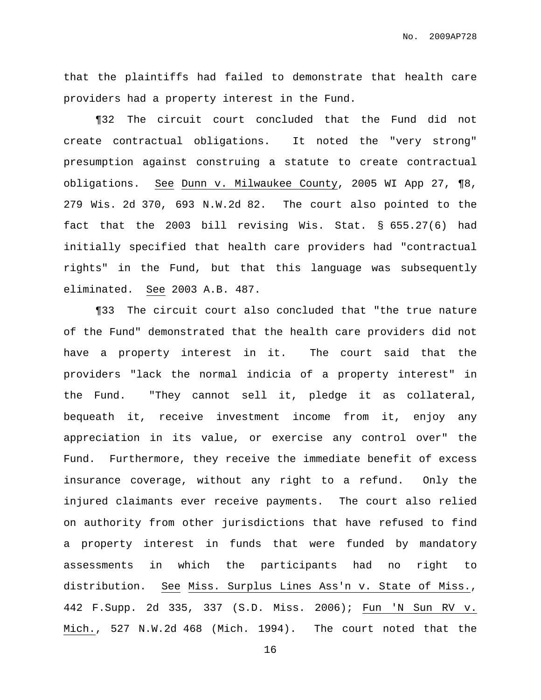that the plaintiffs had failed to demonstrate that health care providers had a property interest in the Fund.

¶32 The circuit court concluded that the Fund did not create contractual obligations. It noted the "very strong" presumption against construing a statute to create contractual obligations. See Dunn v. Milwaukee County, 2005 WI App 27, ¶8, 279 Wis. 2d 370, 693 N.W.2d 82. The court also pointed to the fact that the 2003 bill revising Wis. Stat. § 655.27(6) had initially specified that health care providers had "contractual rights" in the Fund, but that this language was subsequently eliminated. See 2003 A.B. 487.

¶33 The circuit court also concluded that "the true nature of the Fund" demonstrated that the health care providers did not have a property interest in it. The court said that the providers "lack the normal indicia of a property interest" in the Fund. "They cannot sell it, pledge it as collateral, bequeath it, receive investment income from it, enjoy any appreciation in its value, or exercise any control over" the Fund. Furthermore, they receive the immediate benefit of excess insurance coverage, without any right to a refund. Only the injured claimants ever receive payments. The court also relied on authority from other jurisdictions that have refused to find a property interest in funds that were funded by mandatory assessments in which the participants had no right to distribution. See Miss. Surplus Lines Ass'n v. State of Miss., 442 F.Supp. 2d 335, 337 (S.D. Miss. 2006); Fun 'N Sun RV v. Mich., 527 N.W.2d 468 (Mich. 1994). The court noted that the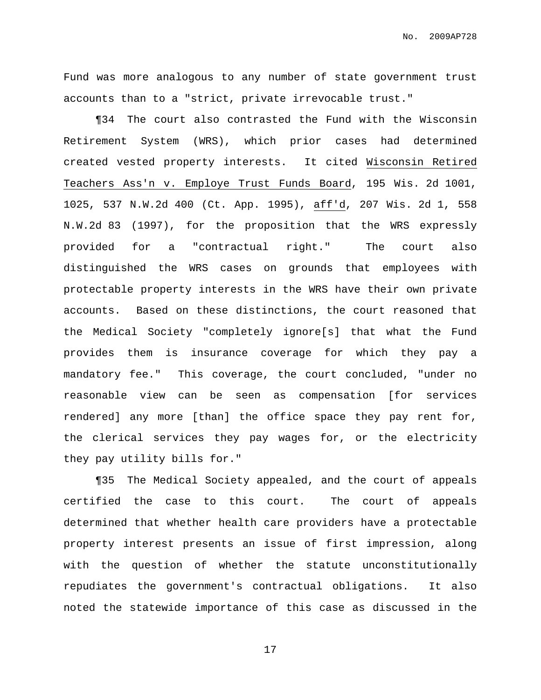Fund was more analogous to any number of state government trust accounts than to a "strict, private irrevocable trust."

¶34 The court also contrasted the Fund with the Wisconsin Retirement System (WRS), which prior cases had determined created vested property interests. It cited Wisconsin Retired Teachers Ass'n v. Employe Trust Funds Board, 195 Wis. 2d 1001, 1025, 537 N.W.2d 400 (Ct. App. 1995), aff'd, 207 Wis. 2d 1, 558 N.W.2d 83 (1997), for the proposition that the WRS expressly provided for a "contractual right." The court also distinguished the WRS cases on grounds that employees with protectable property interests in the WRS have their own private accounts. Based on these distinctions, the court reasoned that the Medical Society "completely ignore[s] that what the Fund provides them is insurance coverage for which they pay a mandatory fee." This coverage, the court concluded, "under no reasonable view can be seen as compensation [for services rendered] any more [than] the office space they pay rent for, the clerical services they pay wages for, or the electricity they pay utility bills for."

¶35 The Medical Society appealed, and the court of appeals certified the case to this court. The court of appeals determined that whether health care providers have a protectable property interest presents an issue of first impression, along with the question of whether the statute unconstitutionally repudiates the government's contractual obligations. It also noted the statewide importance of this case as discussed in the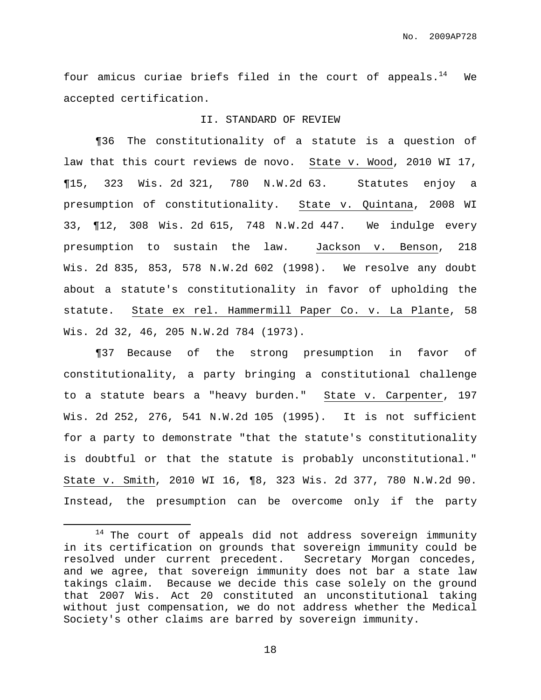four amicus curiae briefs filed in the court of appeals.<sup>14</sup> We accepted certification.

#### II. STANDARD OF REVIEW

¶36 The constitutionality of a statute is a question of law that this court reviews de novo. State v. Wood, 2010 WI 17, ¶15, 323 Wis. 2d 321, 780 N.W.2d 63. Statutes enjoy a presumption of constitutionality. State v. Quintana, 2008 WI 33, ¶12, 308 Wis. 2d 615, 748 N.W.2d 447. We indulge every presumption to sustain the law. Jackson v. Benson, 218 Wis. 2d 835, 853, 578 N.W.2d 602 (1998). We resolve any doubt about a statute's constitutionality in favor of upholding the statute. State ex rel. Hammermill Paper Co. v. La Plante, 58 Wis. 2d 32, 46, 205 N.W.2d 784 (1973).

¶37 Because of the strong presumption in favor of constitutionality, a party bringing a constitutional challenge to a statute bears a "heavy burden." State v. Carpenter, 197 Wis. 2d 252, 276, 541 N.W.2d 105 (1995). It is not sufficient for a party to demonstrate "that the statute's constitutionality is doubtful or that the statute is probably unconstitutional." State v. Smith, 2010 WI 16, ¶8, 323 Wis. 2d 377, 780 N.W.2d 90. Instead, the presumption can be overcome only if the party

 $14$  The court of appeals did not address sovereign immunity in its certification on grounds that sovereign immunity could be resolved under current precedent. Secretary Morgan concedes, and we agree, that sovereign immunity does not bar a state law takings claim. Because we decide this case solely on the ground that 2007 Wis. Act 20 constituted an unconstitutional taking without just compensation, we do not address whether the Medical Society's other claims are barred by sovereign immunity.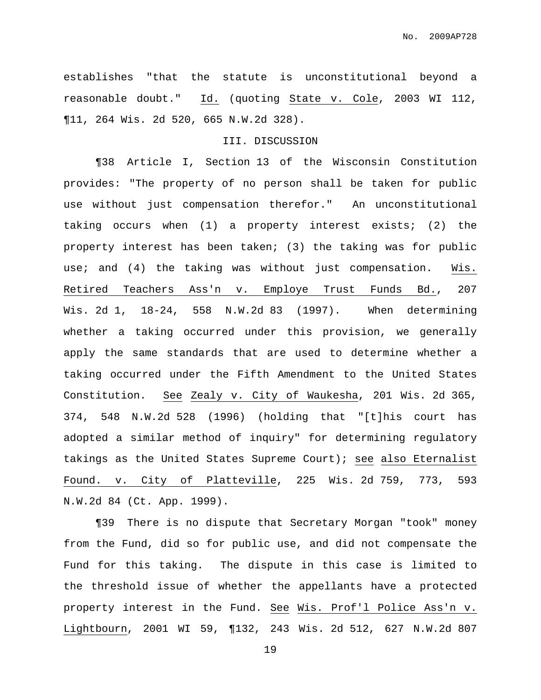establishes "that the statute is unconstitutional beyond a reasonable doubt." Id. (quoting State v. Cole, 2003 WI 112, ¶11, 264 Wis. 2d 520, 665 N.W.2d 328).

# III. DISCUSSION

¶38 Article I, Section 13 of the Wisconsin Constitution provides: "The property of no person shall be taken for public use without just compensation therefor." An unconstitutional taking occurs when (1) a property interest exists; (2) the property interest has been taken; (3) the taking was for public use; and (4) the taking was without just compensation. Wis. Retired Teachers Ass'n v. Employe Trust Funds Bd., 207 Wis. 2d 1, 18-24, 558 N.W.2d 83 (1997). When determining whether a taking occurred under this provision, we generally apply the same standards that are used to determine whether a taking occurred under the Fifth Amendment to the United States Constitution. See Zealy v. City of Waukesha, 201 Wis. 2d 365, 374, 548 N.W.2d 528 (1996) (holding that "[t]his court has adopted a similar method of inquiry" for determining regulatory takings as the United States Supreme Court); see also Eternalist Found. v. City of Platteville, 225 Wis. 2d 759, 773, 593 N.W.2d 84 (Ct. App. 1999).

¶39 There is no dispute that Secretary Morgan "took" money from the Fund, did so for public use, and did not compensate the Fund for this taking. The dispute in this case is limited to the threshold issue of whether the appellants have a protected property interest in the Fund. See Wis. Prof'l Police Ass'n v. Lightbourn, 2001 WI 59, ¶132, 243 Wis. 2d 512, 627 N.W.2d 807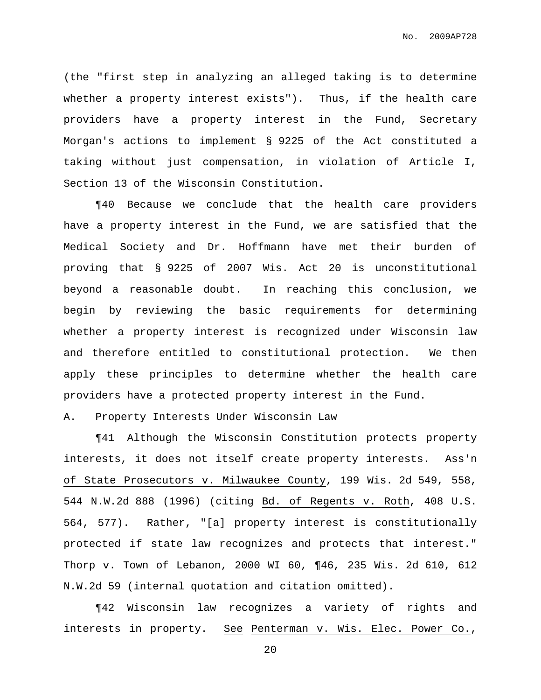(the "first step in analyzing an alleged taking is to determine whether a property interest exists"). Thus, if the health care providers have a property interest in the Fund, Secretary Morgan's actions to implement § 9225 of the Act constituted a taking without just compensation, in violation of Article I, Section 13 of the Wisconsin Constitution.

¶40 Because we conclude that the health care providers have a property interest in the Fund, we are satisfied that the Medical Society and Dr. Hoffmann have met their burden of proving that § 9225 of 2007 Wis. Act 20 is unconstitutional beyond a reasonable doubt. In reaching this conclusion, we begin by reviewing the basic requirements for determining whether a property interest is recognized under Wisconsin law and therefore entitled to constitutional protection. We then apply these principles to determine whether the health care providers have a protected property interest in the Fund.

A. Property Interests Under Wisconsin Law

¶41 Although the Wisconsin Constitution protects property interests, it does not itself create property interests. Ass'n of State Prosecutors v. Milwaukee County, 199 Wis. 2d 549, 558, 544 N.W.2d 888 (1996) (citing Bd. of Regents v. Roth, 408 U.S. 564, 577). Rather, "[a] property interest is constitutionally protected if state law recognizes and protects that interest." Thorp v. Town of Lebanon, 2000 WI 60, ¶46, 235 Wis. 2d 610, 612 N.W.2d 59 (internal quotation and citation omitted).

¶42 Wisconsin law recognizes a variety of rights and interests in property. See Penterman v. Wis. Elec. Power Co.,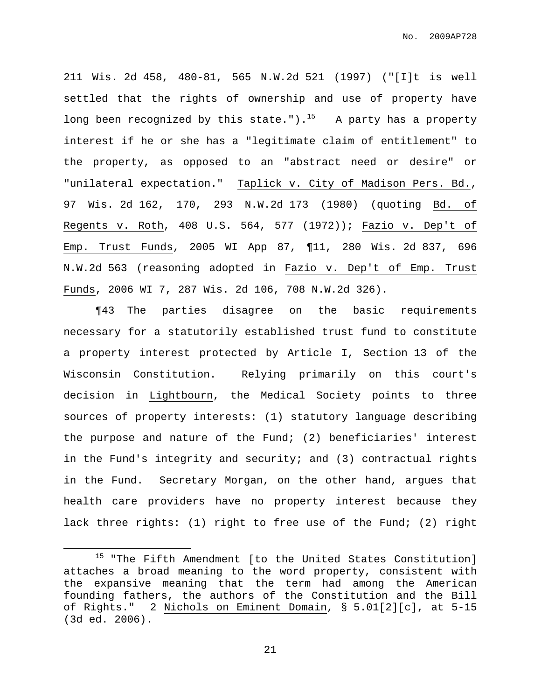211 Wis. 2d 458, 480-81, 565 N.W.2d 521 (1997) ("[I]t is well settled that the rights of ownership and use of property have long been recognized by this state.").<sup>15</sup> A party has a property interest if he or she has a "legitimate claim of entitlement" to the property, as opposed to an "abstract need or desire" or "unilateral expectation." Taplick v. City of Madison Pers. Bd., 97 Wis. 2d 162, 170, 293 N.W.2d 173 (1980) (quoting Bd. of Regents v. Roth, 408 U.S. 564, 577 (1972)); Fazio v. Dep't of Emp. Trust Funds, 2005 WI App 87, ¶11, 280 Wis. 2d 837, 696 N.W.2d 563 (reasoning adopted in Fazio v. Dep't of Emp. Trust Funds, 2006 WI 7, 287 Wis. 2d 106, 708 N.W.2d 326).

¶43 The parties disagree on the basic requirements necessary for a statutorily established trust fund to constitute a property interest protected by Article I, Section 13 of the Wisconsin Constitution. Relying primarily on this court's decision in Lightbourn, the Medical Society points to three sources of property interests: (1) statutory language describing the purpose and nature of the Fund; (2) beneficiaries' interest in the Fund's integrity and security; and (3) contractual rights in the Fund. Secretary Morgan, on the other hand, argues that health care providers have no property interest because they lack three rights: (1) right to free use of the Fund; (2) right

<sup>&</sup>lt;sup>15</sup> "The Fifth Amendment [to the United States Constitution] attaches a broad meaning to the word property, consistent with the expansive meaning that the term had among the American founding fathers, the authors of the Constitution and the Bill of Rights." 2 Nichols on Eminent Domain, § 5.01[2][c], at 5-15 (3d ed. 2006).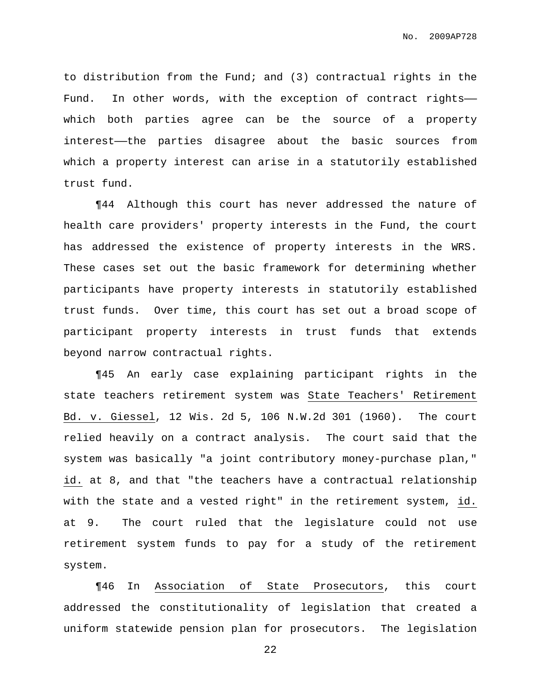to distribution from the Fund; and (3) contractual rights in the Fund. In other words, with the exception of contract rightswhich both parties agree can be the source of a property interest——the parties disagree about the basic sources from which a property interest can arise in a statutorily established trust fund.

¶44 Although this court has never addressed the nature of health care providers' property interests in the Fund, the court has addressed the existence of property interests in the WRS. These cases set out the basic framework for determining whether participants have property interests in statutorily established trust funds. Over time, this court has set out a broad scope of participant property interests in trust funds that extends beyond narrow contractual rights.

¶45 An early case explaining participant rights in the state teachers retirement system was State Teachers' Retirement Bd. v. Giessel, 12 Wis. 2d 5, 106 N.W.2d 301 (1960). The court relied heavily on a contract analysis. The court said that the system was basically "a joint contributory money-purchase plan," id. at 8, and that "the teachers have a contractual relationship with the state and a vested right" in the retirement system, id. at 9. The court ruled that the legislature could not use retirement system funds to pay for a study of the retirement system.

¶46 In Association of State Prosecutors, this court addressed the constitutionality of legislation that created a uniform statewide pension plan for prosecutors. The legislation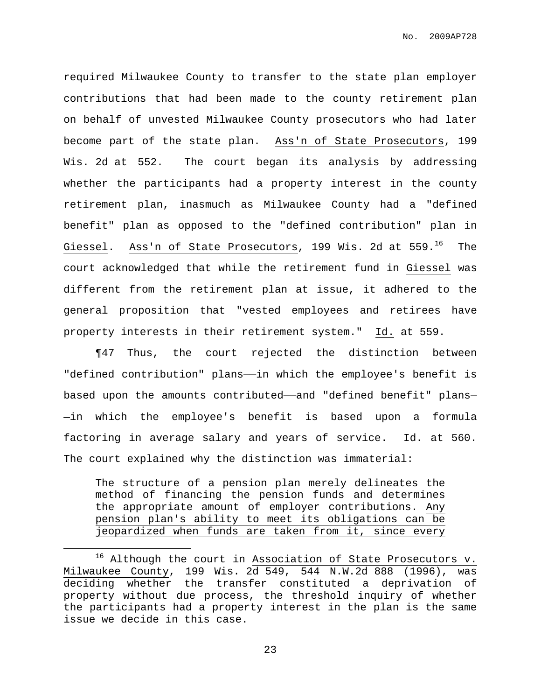required Milwaukee County to transfer to the state plan employer contributions that had been made to the county retirement plan on behalf of unvested Milwaukee County prosecutors who had later become part of the state plan. Ass'n of State Prosecutors, 199 Wis. 2d at 552. The court began its analysis by addressing whether the participants had a property interest in the county retirement plan, inasmuch as Milwaukee County had a "defined benefit" plan as opposed to the "defined contribution" plan in Giessel. Ass'n of State Prosecutors, 199 Wis. 2d at 559.<sup>16</sup> The court acknowledged that while the retirement fund in Giessel was different from the retirement plan at issue, it adhered to the general proposition that "vested employees and retirees have property interests in their retirement system." Id. at 559.

¶47 Thus, the court rejected the distinction between "defined contribution" plans—in which the employee's benefit is based upon the amounts contributed—and "defined benefit" plans-—in which the employee's benefit is based upon a formula factoring in average salary and years of service. Id. at 560. The court explained why the distinction was immaterial:

The structure of a pension plan merely delineates the method of financing the pension funds and determines the appropriate amount of employer contributions. Any pension plan's ability to meet its obligations can be jeopardized when funds are taken from it, since every

 $16$  Although the court in Association of State Prosecutors v. Milwaukee County, 199 Wis. 2d 549, 544 N.W.2d 888 (1996), was deciding whether the transfer constituted a deprivation of property without due process, the threshold inquiry of whether the participants had a property interest in the plan is the same issue we decide in this case.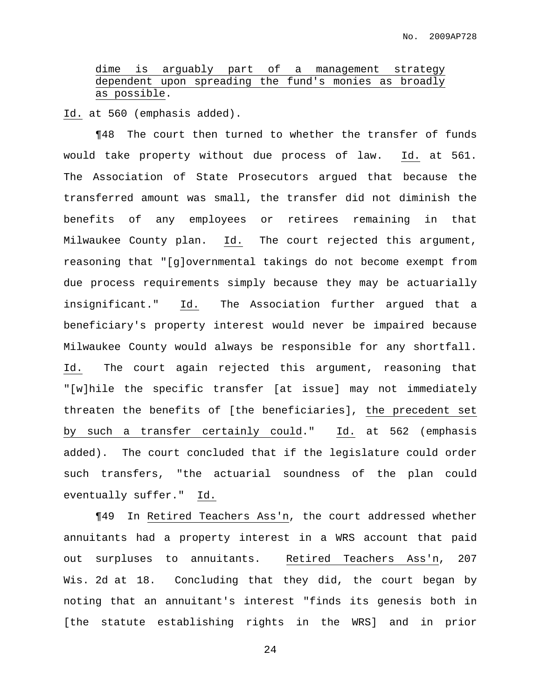# dime is arguably part of a management strategy dependent upon spreading the fund's monies as broadly as possible.

Id. at 560 (emphasis added).

¶48 The court then turned to whether the transfer of funds would take property without due process of law. Id. at 561. The Association of State Prosecutors argued that because the transferred amount was small, the transfer did not diminish the benefits of any employees or retirees remaining in that Milwaukee County plan. Id. The court rejected this argument, reasoning that "[g]overnmental takings do not become exempt from due process requirements simply because they may be actuarially insignificant." Id. The Association further argued that a beneficiary's property interest would never be impaired because Milwaukee County would always be responsible for any shortfall. Id. The court again rejected this argument, reasoning that "[w]hile the specific transfer [at issue] may not immediately threaten the benefits of [the beneficiaries], the precedent set by such a transfer certainly could." Id. at 562 (emphasis added). The court concluded that if the legislature could order such transfers, "the actuarial soundness of the plan could eventually suffer." Id.

¶49 In Retired Teachers Ass'n, the court addressed whether annuitants had a property interest in a WRS account that paid out surpluses to annuitants. Retired Teachers Ass'n, 207 Wis. 2d at 18. Concluding that they did, the court began by noting that an annuitant's interest "finds its genesis both in [the statute establishing rights in the WRS] and in prior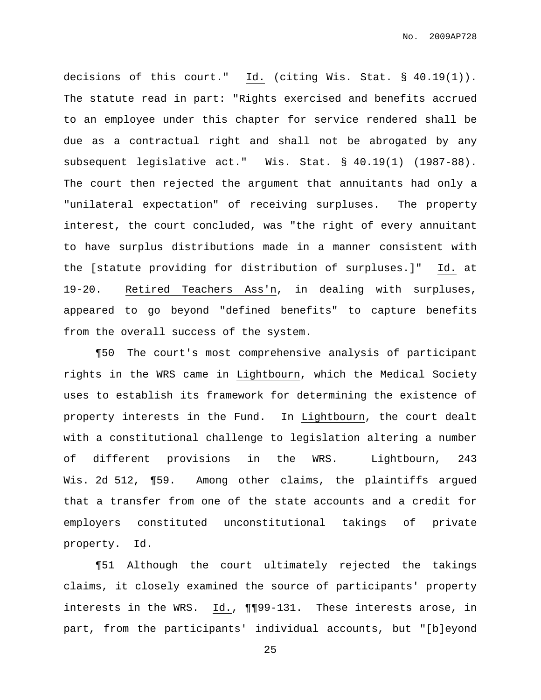No. 2009AP728

decisions of this court." Id. (citing Wis. Stat. § 40.19(1)). The statute read in part: "Rights exercised and benefits accrued to an employee under this chapter for service rendered shall be due as a contractual right and shall not be abrogated by any subsequent legislative act." Wis. Stat. § 40.19(1) (1987-88). The court then rejected the argument that annuitants had only a "unilateral expectation" of receiving surpluses. The property interest, the court concluded, was "the right of every annuitant to have surplus distributions made in a manner consistent with the [statute providing for distribution of surpluses.]" Id. at 19-20. Retired Teachers Ass'n, in dealing with surpluses, appeared to go beyond "defined benefits" to capture benefits from the overall success of the system.

¶50 The court's most comprehensive analysis of participant rights in the WRS came in Lightbourn, which the Medical Society uses to establish its framework for determining the existence of property interests in the Fund. In Lightbourn, the court dealt with a constitutional challenge to legislation altering a number of different provisions in the WRS. Lightbourn, 243 Wis. 2d 512, ¶59. Among other claims, the plaintiffs argued that a transfer from one of the state accounts and a credit for employers constituted unconstitutional takings of private property. Id.

¶51 Although the court ultimately rejected the takings claims, it closely examined the source of participants' property interests in the WRS. Id., ¶¶99-131. These interests arose, in part, from the participants' individual accounts, but "[b]eyond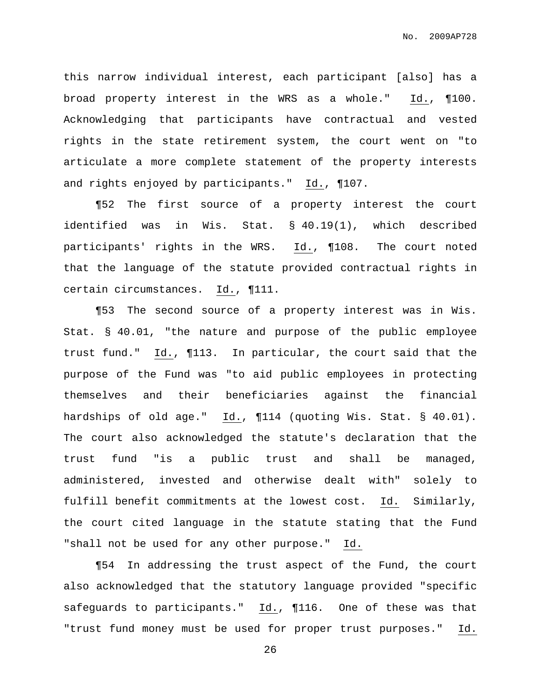this narrow individual interest, each participant [also] has a broad property interest in the WRS as a whole." Id., ¶100. Acknowledging that participants have contractual and vested rights in the state retirement system, the court went on "to articulate a more complete statement of the property interests and rights enjoyed by participants." Id., ¶107.

¶52 The first source of a property interest the court identified was in Wis. Stat. § 40.19(1), which described participants' rights in the WRS. Id., ¶108. The court noted that the language of the statute provided contractual rights in certain circumstances. Id., ¶111.

¶53 The second source of a property interest was in Wis. Stat. § 40.01, "the nature and purpose of the public employee trust fund." Id., ¶113. In particular, the court said that the purpose of the Fund was "to aid public employees in protecting themselves and their beneficiaries against the financial hardships of old age." Id., ¶114 (quoting Wis. Stat. § 40.01). The court also acknowledged the statute's declaration that the trust fund "is a public trust and shall be managed, administered, invested and otherwise dealt with" solely to fulfill benefit commitments at the lowest cost. Id. Similarly, the court cited language in the statute stating that the Fund "shall not be used for any other purpose." Id.

¶54 In addressing the trust aspect of the Fund, the court also acknowledged that the statutory language provided "specific safeguards to participants." Id., ¶116. One of these was that "trust fund money must be used for proper trust purposes." Id.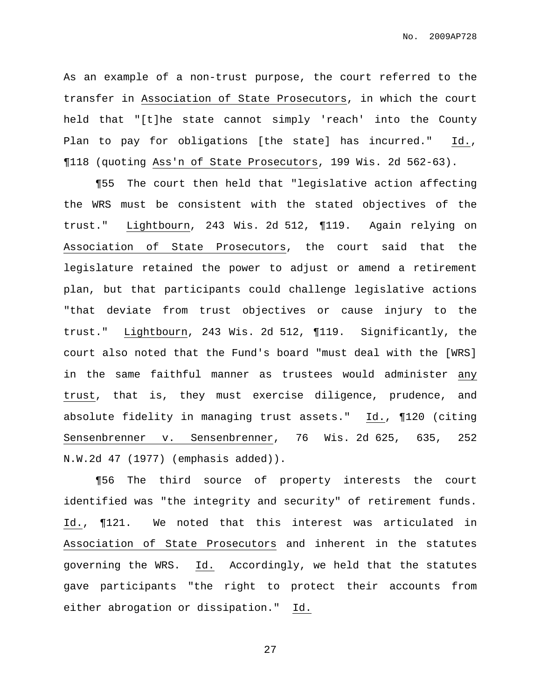As an example of a non-trust purpose, the court referred to the transfer in Association of State Prosecutors, in which the court held that "[t]he state cannot simply 'reach' into the County Plan to pay for obligations [the state] has incurred." Id., ¶118 (quoting Ass'n of State Prosecutors, 199 Wis. 2d 562-63).

¶55 The court then held that "legislative action affecting the WRS must be consistent with the stated objectives of the trust." Lightbourn, 243 Wis. 2d 512, ¶119. Again relying on Association of State Prosecutors, the court said that the legislature retained the power to adjust or amend a retirement plan, but that participants could challenge legislative actions "that deviate from trust objectives or cause injury to the trust." Lightbourn, 243 Wis. 2d 512, ¶119. Significantly, the court also noted that the Fund's board "must deal with the [WRS] in the same faithful manner as trustees would administer any trust, that is, they must exercise diligence, prudence, and absolute fidelity in managing trust assets." Id., ¶120 (citing Sensenbrenner v. Sensenbrenner, 76 Wis. 2d 625, 635, 252 N.W.2d 47 (1977) (emphasis added)).

¶56 The third source of property interests the court identified was "the integrity and security" of retirement funds. Id., ¶121. We noted that this interest was articulated in Association of State Prosecutors and inherent in the statutes governing the WRS. Id. Accordingly, we held that the statutes gave participants "the right to protect their accounts from either abrogation or dissipation." Id.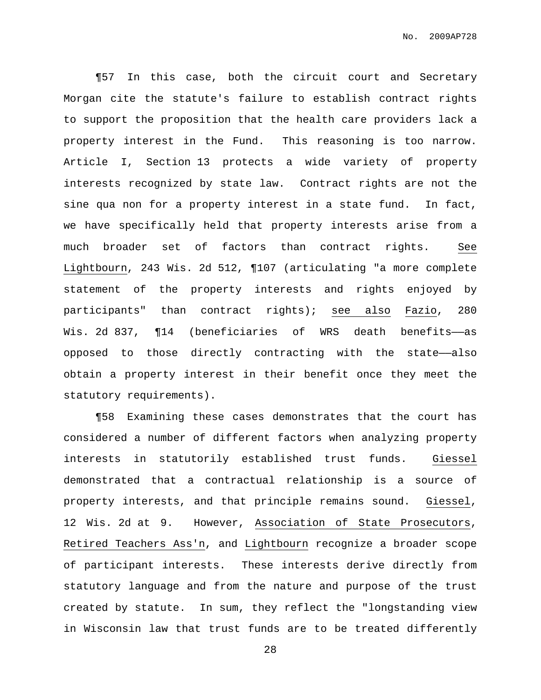¶57 In this case, both the circuit court and Secretary Morgan cite the statute's failure to establish contract rights to support the proposition that the health care providers lack a property interest in the Fund. This reasoning is too narrow. Article I, Section 13 protects a wide variety of property interests recognized by state law. Contract rights are not the sine qua non for a property interest in a state fund. In fact, we have specifically held that property interests arise from a much broader set of factors than contract rights. See Lightbourn, 243 Wis. 2d 512, ¶107 (articulating "a more complete statement of the property interests and rights enjoyed by participants" than contract rights); see also Fazio, 280 Wis. 2d 837,  $\P$ 14 (beneficiaries of WRS death benefits—as opposed to those directly contracting with the state—also obtain a property interest in their benefit once they meet the statutory requirements).

¶58 Examining these cases demonstrates that the court has considered a number of different factors when analyzing property interests in statutorily established trust funds. Giessel demonstrated that a contractual relationship is a source of property interests, and that principle remains sound. Giessel, 12 Wis. 2d at 9. However, Association of State Prosecutors, Retired Teachers Ass'n, and Lightbourn recognize a broader scope of participant interests. These interests derive directly from statutory language and from the nature and purpose of the trust created by statute. In sum, they reflect the "longstanding view in Wisconsin law that trust funds are to be treated differently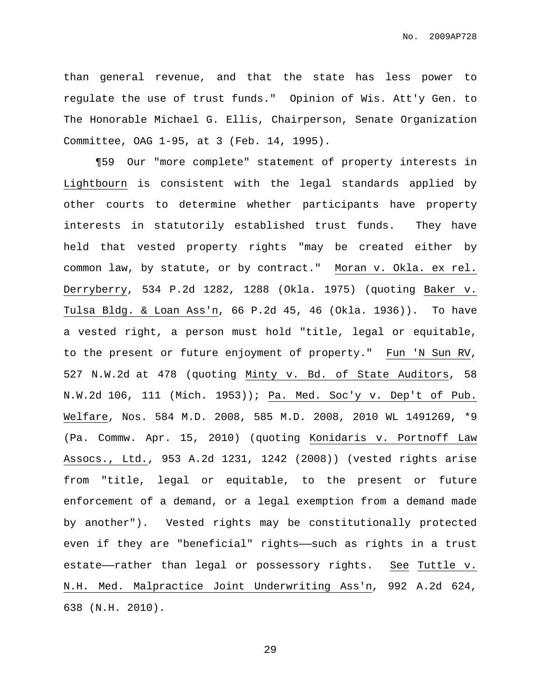than general revenue, and that the state has less power to regulate the use of trust funds." Opinion of Wis. Att'y Gen. to The Honorable Michael G. Ellis, Chairperson, Senate Organization Committee, OAG 1-95, at 3 (Feb. 14, 1995).

¶59 Our "more complete" statement of property interests in Lightbourn is consistent with the legal standards applied by other courts to determine whether participants have property interests in statutorily established trust funds. They have held that vested property rights "may be created either by common law, by statute, or by contract." Moran v. Okla. ex rel. Derryberry, 534 P.2d 1282, 1288 (Okla. 1975) (quoting Baker v. Tulsa Bldg. & Loan Ass'n, 66 P.2d 45, 46 (Okla. 1936)). To have a vested right, a person must hold "title, legal or equitable, to the present or future enjoyment of property." Fun 'N Sun RV, 527 N.W.2d at 478 (quoting Minty v. Bd. of State Auditors, 58 N.W.2d 106, 111 (Mich. 1953)); Pa. Med. Soc'y v. Dep't of Pub. Welfare, Nos. 584 M.D. 2008, 585 M.D. 2008, 2010 WL 1491269, \*9 (Pa. Commw. Apr. 15, 2010) (quoting Konidaris v. Portnoff Law Assocs., Ltd., 953 A.2d 1231, 1242 (2008)) (vested rights arise from "title, legal or equitable, to the present or future enforcement of a demand, or a legal exemption from a demand made by another"). Vested rights may be constitutionally protected even if they are "beneficial" rights——such as rights in a trust estate——rather than legal or possessory rights. See Tuttle v. N.H. Med. Malpractice Joint Underwriting Ass'n, 992 A.2d 624, 638 (N.H. 2010).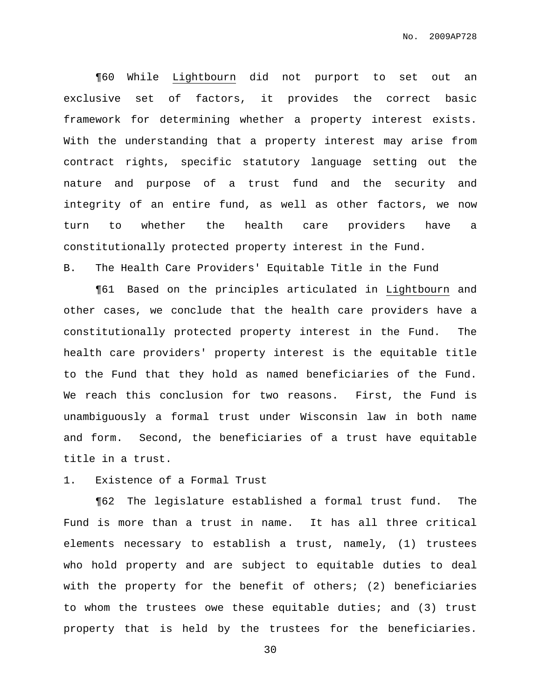¶60 While Lightbourn did not purport to set out an exclusive set of factors, it provides the correct basic framework for determining whether a property interest exists. With the understanding that a property interest may arise from contract rights, specific statutory language setting out the nature and purpose of a trust fund and the security and integrity of an entire fund, as well as other factors, we now turn to whether the health care providers have a constitutionally protected property interest in the Fund. B. The Health Care Providers' Equitable Title in the Fund

¶61 Based on the principles articulated in Lightbourn and other cases, we conclude that the health care providers have a constitutionally protected property interest in the Fund. The health care providers' property interest is the equitable title to the Fund that they hold as named beneficiaries of the Fund. We reach this conclusion for two reasons. First, the Fund is unambiguously a formal trust under Wisconsin law in both name and form. Second, the beneficiaries of a trust have equitable title in a trust.

# 1. Existence of a Formal Trust

¶62 The legislature established a formal trust fund. The Fund is more than a trust in name. It has all three critical elements necessary to establish a trust, namely, (1) trustees who hold property and are subject to equitable duties to deal with the property for the benefit of others; (2) beneficiaries to whom the trustees owe these equitable duties; and (3) trust property that is held by the trustees for the beneficiaries.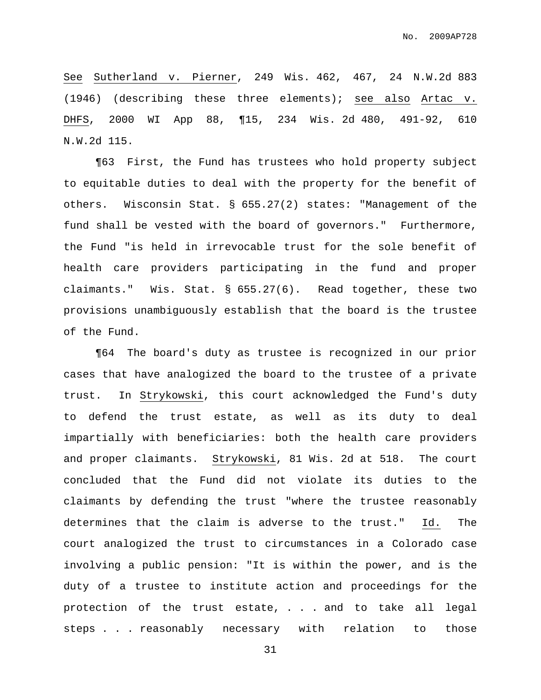See Sutherland v. Pierner, 249 Wis. 462, 467, 24 N.W.2d 883 (1946) (describing these three elements); see also Artac v. DHFS, 2000 WI App 88, ¶15, 234 Wis. 2d 480, 491-92, 610 N.W.2d 115.

¶63 First, the Fund has trustees who hold property subject to equitable duties to deal with the property for the benefit of others. Wisconsin Stat. § 655.27(2) states: "Management of the fund shall be vested with the board of governors." Furthermore, the Fund "is held in irrevocable trust for the sole benefit of health care providers participating in the fund and proper claimants." Wis. Stat. § 655.27(6). Read together, these two provisions unambiguously establish that the board is the trustee of the Fund.

¶64 The board's duty as trustee is recognized in our prior cases that have analogized the board to the trustee of a private trust. In Strykowski, this court acknowledged the Fund's duty to defend the trust estate, as well as its duty to deal impartially with beneficiaries: both the health care providers and proper claimants. Strykowski, 81 Wis. 2d at 518. The court concluded that the Fund did not violate its duties to the claimants by defending the trust "where the trustee reasonably determines that the claim is adverse to the trust." Id. The court analogized the trust to circumstances in a Colorado case involving a public pension: "It is within the power, and is the duty of a trustee to institute action and proceedings for the protection of the trust estate, . . . and to take all legal steps . . . reasonably necessary with relation to those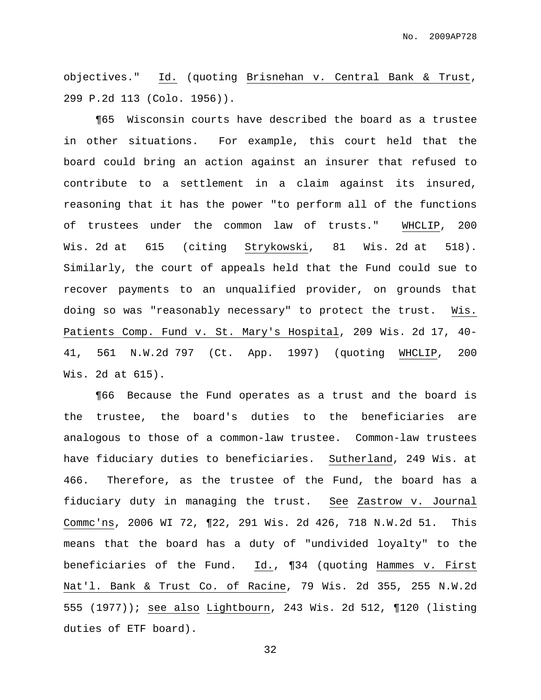objectives." Id. (quoting Brisnehan v. Central Bank & Trust, 299 P.2d 113 (Colo. 1956)).

¶65 Wisconsin courts have described the board as a trustee in other situations. For example, this court held that the board could bring an action against an insurer that refused to contribute to a settlement in a claim against its insured, reasoning that it has the power "to perform all of the functions of trustees under the common law of trusts." WHCLIP, 200 Wis. 2d at 615 (citing Strykowski, 81 Wis. 2d at 518). Similarly, the court of appeals held that the Fund could sue to recover payments to an unqualified provider, on grounds that doing so was "reasonably necessary" to protect the trust. Wis. Patients Comp. Fund v. St. Mary's Hospital, 209 Wis. 2d 17, 40- 41, 561 N.W.2d 797 (Ct. App. 1997) (quoting WHCLIP, 200 Wis. 2d at 615).

¶66 Because the Fund operates as a trust and the board is the trustee, the board's duties to the beneficiaries are analogous to those of a common-law trustee. Common-law trustees have fiduciary duties to beneficiaries. Sutherland, 249 Wis. at 466. Therefore, as the trustee of the Fund, the board has a fiduciary duty in managing the trust. See Zastrow v. Journal Commc'ns, 2006 WI 72, ¶22, 291 Wis. 2d 426, 718 N.W.2d 51. This means that the board has a duty of "undivided loyalty" to the beneficiaries of the Fund. Id., ¶34 (quoting Hammes v. First Nat'l. Bank & Trust Co. of Racine, 79 Wis. 2d 355, 255 N.W.2d 555 (1977)); see also Lightbourn, 243 Wis. 2d 512, ¶120 (listing duties of ETF board).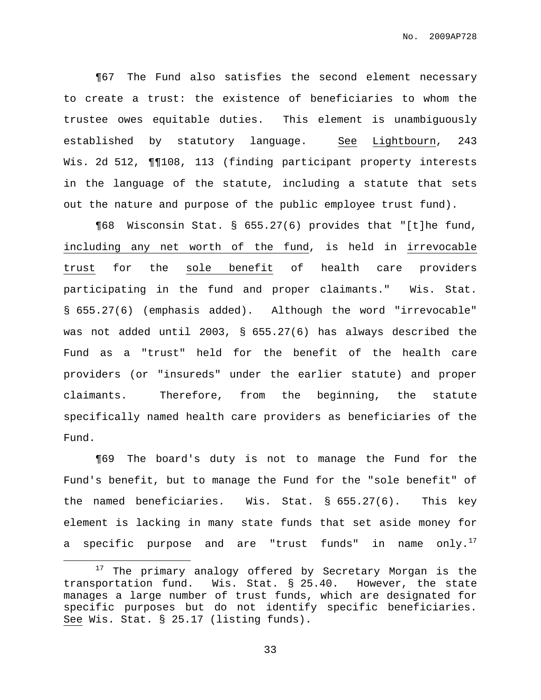¶67 The Fund also satisfies the second element necessary to create a trust: the existence of beneficiaries to whom the trustee owes equitable duties. This element is unambiguously established by statutory language. See Lightbourn, 243 Wis. 2d 512, ¶¶108, 113 (finding participant property interests in the language of the statute, including a statute that sets out the nature and purpose of the public employee trust fund).

¶68 Wisconsin Stat. § 655.27(6) provides that "[t]he fund, including any net worth of the fund, is held in irrevocable trust for the sole benefit of health care providers participating in the fund and proper claimants." Wis. Stat. § 655.27(6) (emphasis added). Although the word "irrevocable" was not added until 2003, § 655.27(6) has always described the Fund as a "trust" held for the benefit of the health care providers (or "insureds" under the earlier statute) and proper claimants. Therefore, from the beginning, the statute specifically named health care providers as beneficiaries of the Fund.

¶69 The board's duty is not to manage the Fund for the Fund's benefit, but to manage the Fund for the "sole benefit" of the named beneficiaries. Wis. Stat. § 655.27(6). This key element is lacking in many state funds that set aside money for a specific purpose and are "trust funds" in name only. $^{17}$ 

<sup>&</sup>lt;sup>17</sup> The primary analogy offered by Secretary Morgan is the transportation fund. Wis. Stat. § 25.40. However, the state manages a large number of trust funds, which are designated for specific purposes but do not identify specific beneficiaries. See Wis. Stat. § 25.17 (listing funds).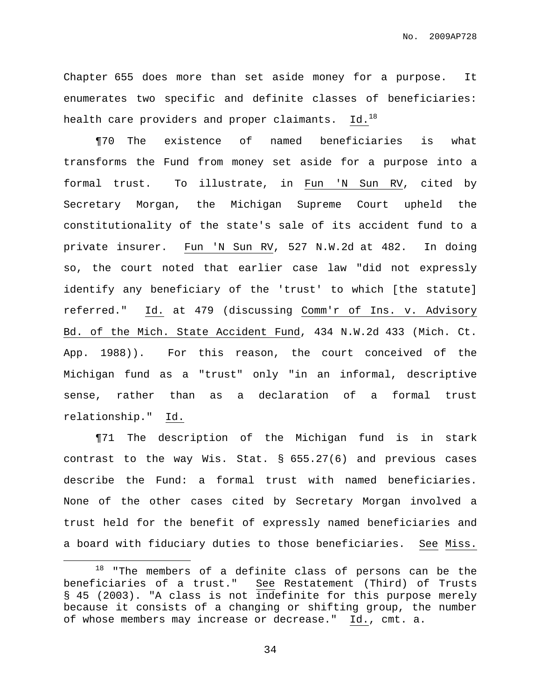No. 2009AP728

Chapter 655 does more than set aside money for a purpose. It enumerates two specific and definite classes of beneficiaries: health care providers and proper claimants.  $\,$  Id. $^{18}$ 

¶70 The existence of named beneficiaries is what transforms the Fund from money set aside for a purpose into a formal trust. To illustrate, in Fun 'N Sun RV, cited by Secretary Morgan, the Michigan Supreme Court upheld the constitutionality of the state's sale of its accident fund to a private insurer. Fun 'N Sun RV, 527 N.W.2d at 482. In doing so, the court noted that earlier case law "did not expressly identify any beneficiary of the 'trust' to which [the statute] referred." Id. at 479 (discussing Comm'r of Ins. v. Advisory Bd. of the Mich. State Accident Fund, 434 N.W.2d 433 (Mich. Ct. App. 1988)). For this reason, the court conceived of the Michigan fund as a "trust" only "in an informal, descriptive sense, rather than as a declaration of a formal trust relationship." Id.

¶71 The description of the Michigan fund is in stark contrast to the way Wis. Stat. § 655.27(6) and previous cases describe the Fund: a formal trust with named beneficiaries. None of the other cases cited by Secretary Morgan involved a trust held for the benefit of expressly named beneficiaries and a board with fiduciary duties to those beneficiaries. See Miss.

 $18$  "The members of a definite class of persons can be the beneficiaries of a trust." See Restatement (Third) of Trusts § 45 (2003). "A class is not indefinite for this purpose merely because it consists of a changing or shifting group, the number of whose members may increase or decrease." Id., cmt. a.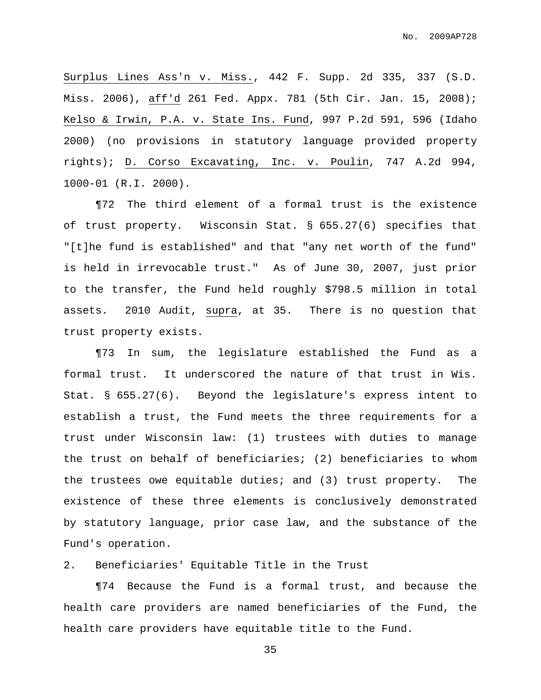Surplus Lines Ass'n v. Miss., 442 F. Supp. 2d 335, 337 (S.D. Miss. 2006), aff'd 261 Fed. Appx. 781 (5th Cir. Jan. 15, 2008); Kelso & Irwin, P.A. v. State Ins. Fund, 997 P.2d 591, 596 (Idaho 2000) (no provisions in statutory language provided property rights); D. Corso Excavating, Inc. v. Poulin, 747 A.2d 994, 1000-01 (R.I. 2000).

¶72 The third element of a formal trust is the existence of trust property. Wisconsin Stat. § 655.27(6) specifies that "[t]he fund is established" and that "any net worth of the fund" is held in irrevocable trust." As of June 30, 2007, just prior to the transfer, the Fund held roughly \$798.5 million in total assets. 2010 Audit, supra, at 35. There is no question that trust property exists.

¶73 In sum, the legislature established the Fund as a formal trust. It underscored the nature of that trust in Wis. Stat. § 655.27(6). Beyond the legislature's express intent to establish a trust, the Fund meets the three requirements for a trust under Wisconsin law: (1) trustees with duties to manage the trust on behalf of beneficiaries; (2) beneficiaries to whom the trustees owe equitable duties; and (3) trust property. The existence of these three elements is conclusively demonstrated by statutory language, prior case law, and the substance of the Fund's operation.

2. Beneficiaries' Equitable Title in the Trust

¶74 Because the Fund is a formal trust, and because the health care providers are named beneficiaries of the Fund, the health care providers have equitable title to the Fund.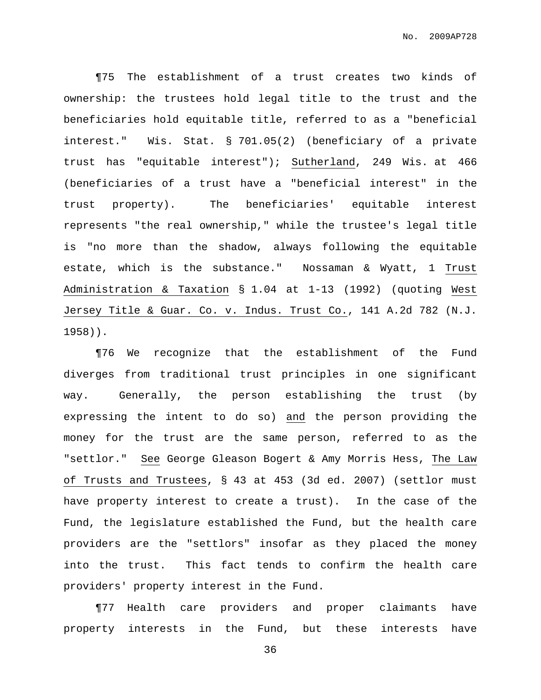¶75 The establishment of a trust creates two kinds of ownership: the trustees hold legal title to the trust and the beneficiaries hold equitable title, referred to as a "beneficial interest." Wis. Stat. § 701.05(2) (beneficiary of a private trust has "equitable interest"); Sutherland, 249 Wis. at 466 (beneficiaries of a trust have a "beneficial interest" in the trust property). The beneficiaries' equitable interest represents "the real ownership," while the trustee's legal title is "no more than the shadow, always following the equitable estate, which is the substance." Nossaman & Wyatt, 1 Trust Administration & Taxation § 1.04 at 1-13 (1992) (quoting West Jersey Title & Guar. Co. v. Indus. Trust Co., 141 A.2d 782 (N.J. 1958)).

¶76 We recognize that the establishment of the Fund diverges from traditional trust principles in one significant way. Generally, the person establishing the trust (by expressing the intent to do so) and the person providing the money for the trust are the same person, referred to as the "settlor." See George Gleason Bogert & Amy Morris Hess, The Law of Trusts and Trustees, § 43 at 453 (3d ed. 2007) (settlor must have property interest to create a trust). In the case of the Fund, the legislature established the Fund, but the health care providers are the "settlors" insofar as they placed the money into the trust. This fact tends to confirm the health care providers' property interest in the Fund.

¶77 Health care providers and proper claimants have property interests in the Fund, but these interests have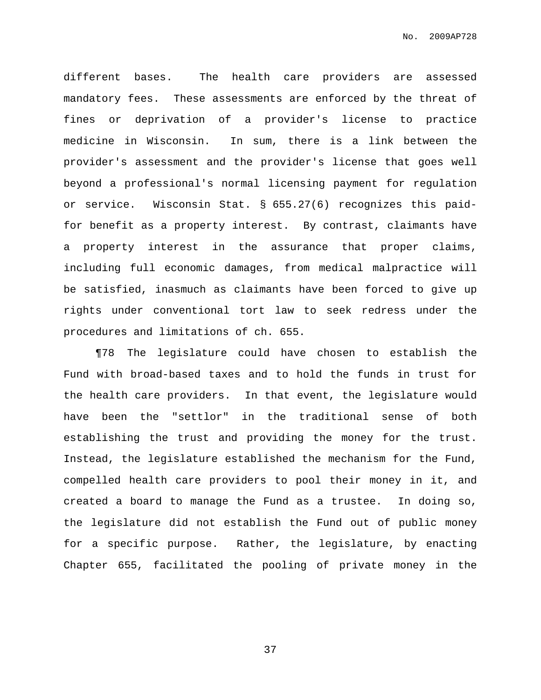different bases. The health care providers are assessed mandatory fees. These assessments are enforced by the threat of fines or deprivation of a provider's license to practice medicine in Wisconsin. In sum, there is a link between the provider's assessment and the provider's license that goes well beyond a professional's normal licensing payment for regulation or service. Wisconsin Stat. § 655.27(6) recognizes this paidfor benefit as a property interest. By contrast, claimants have a property interest in the assurance that proper claims, including full economic damages, from medical malpractice will be satisfied, inasmuch as claimants have been forced to give up rights under conventional tort law to seek redress under the procedures and limitations of ch. 655.

¶78 The legislature could have chosen to establish the Fund with broad-based taxes and to hold the funds in trust for the health care providers. In that event, the legislature would have been the "settlor" in the traditional sense of both establishing the trust and providing the money for the trust. Instead, the legislature established the mechanism for the Fund, compelled health care providers to pool their money in it, and created a board to manage the Fund as a trustee. In doing so, the legislature did not establish the Fund out of public money for a specific purpose. Rather, the legislature, by enacting Chapter 655, facilitated the pooling of private money in the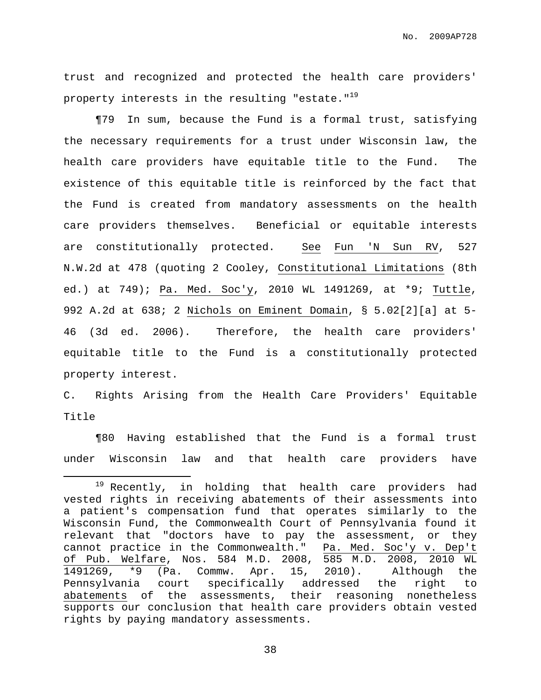No. 2009AP728

trust and recognized and protected the health care providers' property interests in the resulting "estate." $^{19}$ 

¶79 In sum, because the Fund is a formal trust, satisfying the necessary requirements for a trust under Wisconsin law, the health care providers have equitable title to the Fund. The existence of this equitable title is reinforced by the fact that the Fund is created from mandatory assessments on the health care providers themselves. Beneficial or equitable interests are constitutionally protected. See Fun 'N Sun RV, 527 N.W.2d at 478 (quoting 2 Cooley, Constitutional Limitations (8th ed.) at 749); Pa. Med. Soc'y, 2010 WL 1491269, at \*9; Tuttle, 992 A.2d at 638; 2 Nichols on Eminent Domain, § 5.02[2][a] at 5- 46 (3d ed. 2006). Therefore, the health care providers' equitable title to the Fund is a constitutionally protected property interest.

C. Rights Arising from the Health Care Providers' Equitable Title

¶80 Having established that the Fund is a formal trust under Wisconsin law and that health care providers have

<sup>&</sup>lt;sup>19</sup> Recently, in holding that health care providers had vested rights in receiving abatements of their assessments into a patient's compensation fund that operates similarly to the Wisconsin Fund, the Commonwealth Court of Pennsylvania found it relevant that "doctors have to pay the assessment, or they cannot practice in the Commonwealth." Pa. Med. Soc'y v. Dep't of Pub. Welfare, Nos. 584 M.D. 2008, 585 M.D. 2008, 2010 WL 1491269, \*9 (Pa. Commw. Apr. 15, 2010). Although the Pennsylvania court specifically addressed the right to abatements of the assessments, their reasoning nonetheless supports our conclusion that health care providers obtain vested rights by paying mandatory assessments.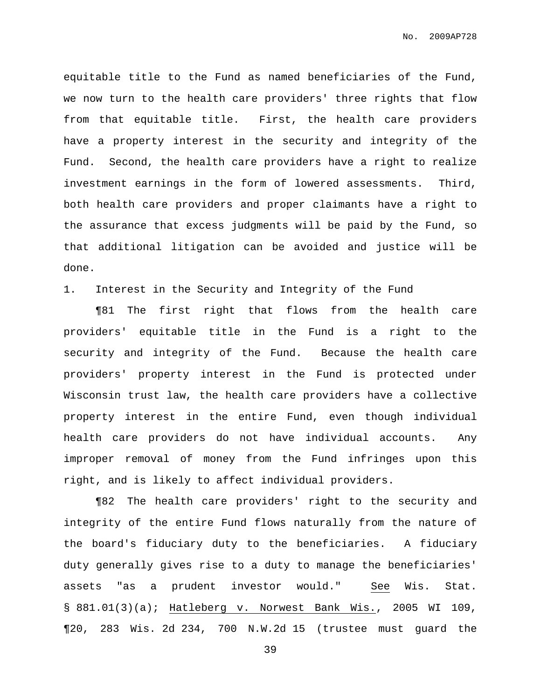No. 2009AP728

equitable title to the Fund as named beneficiaries of the Fund, we now turn to the health care providers' three rights that flow from that equitable title. First, the health care providers have a property interest in the security and integrity of the Fund. Second, the health care providers have a right to realize investment earnings in the form of lowered assessments. Third, both health care providers and proper claimants have a right to the assurance that excess judgments will be paid by the Fund, so that additional litigation can be avoided and justice will be done.

1. Interest in the Security and Integrity of the Fund

¶81 The first right that flows from the health care providers' equitable title in the Fund is a right to the security and integrity of the Fund. Because the health care providers' property interest in the Fund is protected under Wisconsin trust law, the health care providers have a collective property interest in the entire Fund, even though individual health care providers do not have individual accounts. Any improper removal of money from the Fund infringes upon this right, and is likely to affect individual providers.

¶82 The health care providers' right to the security and integrity of the entire Fund flows naturally from the nature of the board's fiduciary duty to the beneficiaries. A fiduciary duty generally gives rise to a duty to manage the beneficiaries' assets "as a prudent investor would." See Wis. Stat. § 881.01(3)(a); Hatleberg v. Norwest Bank Wis., 2005 WI 109, ¶20, 283 Wis. 2d 234, 700 N.W.2d 15 (trustee must guard the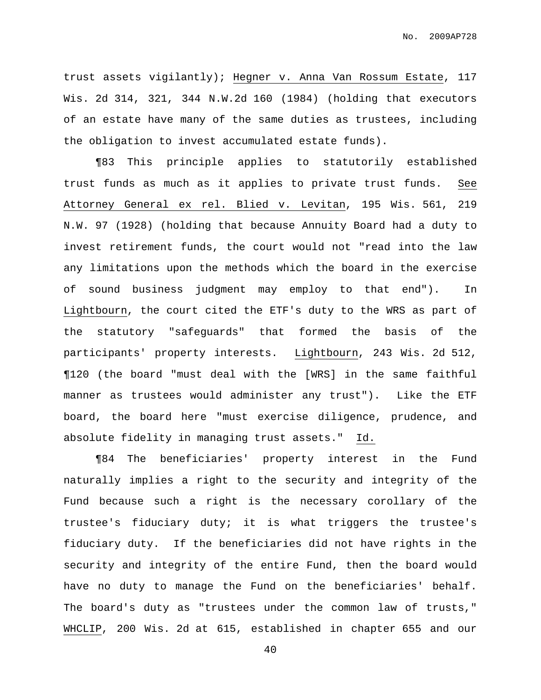trust assets vigilantly); Hegner v. Anna Van Rossum Estate, 117 Wis. 2d 314, 321, 344 N.W.2d 160 (1984) (holding that executors of an estate have many of the same duties as trustees, including the obligation to invest accumulated estate funds).

¶83 This principle applies to statutorily established trust funds as much as it applies to private trust funds. See Attorney General ex rel. Blied v. Levitan, 195 Wis. 561, 219 N.W. 97 (1928) (holding that because Annuity Board had a duty to invest retirement funds, the court would not "read into the law any limitations upon the methods which the board in the exercise of sound business judgment may employ to that end"). In Lightbourn, the court cited the ETF's duty to the WRS as part of the statutory "safeguards" that formed the basis of the participants' property interests. Lightbourn, 243 Wis. 2d 512, ¶120 (the board "must deal with the [WRS] in the same faithful manner as trustees would administer any trust"). Like the ETF board, the board here "must exercise diligence, prudence, and absolute fidelity in managing trust assets." Id.

¶84 The beneficiaries' property interest in the Fund naturally implies a right to the security and integrity of the Fund because such a right is the necessary corollary of the trustee's fiduciary duty; it is what triggers the trustee's fiduciary duty. If the beneficiaries did not have rights in the security and integrity of the entire Fund, then the board would have no duty to manage the Fund on the beneficiaries' behalf. The board's duty as "trustees under the common law of trusts," WHCLIP, 200 Wis. 2d at 615, established in chapter 655 and our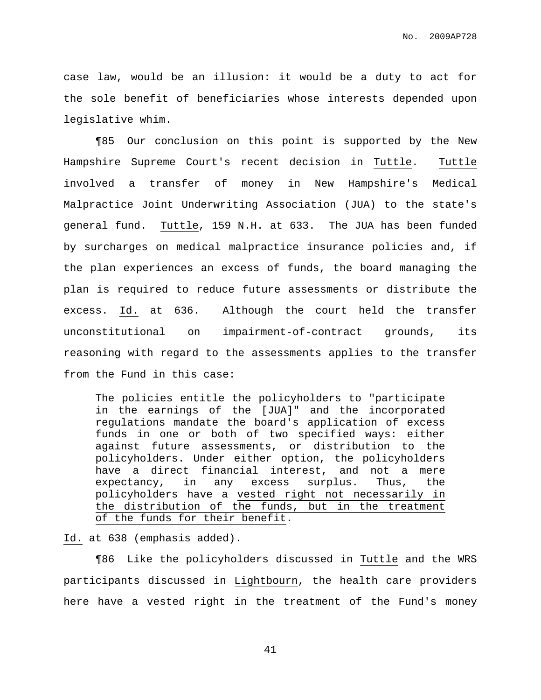case law, would be an illusion: it would be a duty to act for the sole benefit of beneficiaries whose interests depended upon legislative whim.

¶85 Our conclusion on this point is supported by the New Hampshire Supreme Court's recent decision in Tuttle. Tuttle involved a transfer of money in New Hampshire's Medical Malpractice Joint Underwriting Association (JUA) to the state's general fund. Tuttle, 159 N.H. at 633. The JUA has been funded by surcharges on medical malpractice insurance policies and, if the plan experiences an excess of funds, the board managing the plan is required to reduce future assessments or distribute the excess. Id. at 636. Although the court held the transfer unconstitutional on impairment-of-contract grounds, its reasoning with regard to the assessments applies to the transfer from the Fund in this case:

The policies entitle the policyholders to "participate in the earnings of the [JUA]" and the incorporated regulations mandate the board's application of excess funds in one or both of two specified ways: either against future assessments, or distribution to the policyholders. Under either option, the policyholders have a direct financial interest, and not a mere expectancy, in any excess surplus. Thus, the policyholders have a vested right not necessarily in the distribution of the funds, but in the treatment of the funds for their benefit.

### Id. at 638 (emphasis added).

¶86 Like the policyholders discussed in Tuttle and the WRS participants discussed in Lightbourn, the health care providers here have a vested right in the treatment of the Fund's money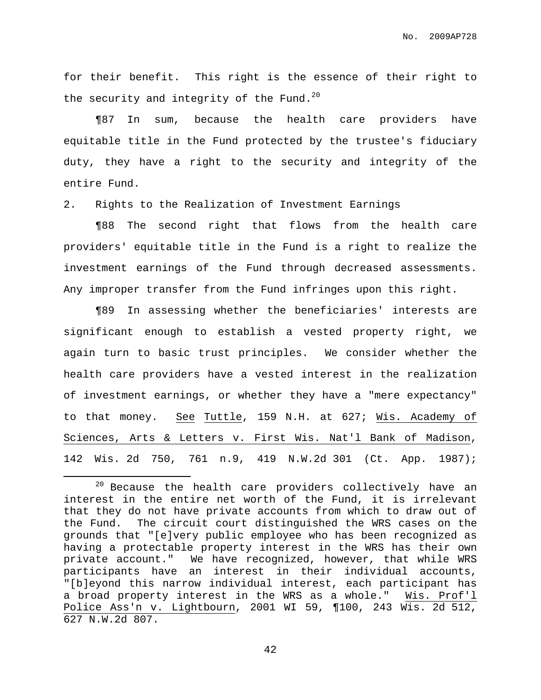for their benefit. This right is the essence of their right to the security and integrity of the Fund. $^{20}$ 

¶87 In sum, because the health care providers have equitable title in the Fund protected by the trustee's fiduciary duty, they have a right to the security and integrity of the entire Fund.

2. Rights to the Realization of Investment Earnings

¶88 The second right that flows from the health care providers' equitable title in the Fund is a right to realize the investment earnings of the Fund through decreased assessments. Any improper transfer from the Fund infringes upon this right.

¶89 In assessing whether the beneficiaries' interests are significant enough to establish a vested property right, we again turn to basic trust principles. We consider whether the health care providers have a vested interest in the realization of investment earnings, or whether they have a "mere expectancy" to that money. See Tuttle, 159 N.H. at 627; Wis. Academy of Sciences, Arts & Letters v. First Wis. Nat'l Bank of Madison, 142 Wis. 2d 750, 761 n.9, 419 N.W.2d 301 (Ct. App. 1987);

 $20$  Because the health care providers collectively have an interest in the entire net worth of the Fund, it is irrelevant that they do not have private accounts from which to draw out of the Fund. The circuit court distinguished the WRS cases on the grounds that "[e]very public employee who has been recognized as having a protectable property interest in the WRS has their own private account." We have recognized, however, that while WRS participants have an interest in their individual accounts, "[b]eyond this narrow individual interest, each participant has a broad property interest in the WRS as a whole." Wis. Prof'l Police Ass'n v. Lightbourn, 2001 WI 59, ¶100, 243 Wis. 2d 512, 627 N.W.2d 807.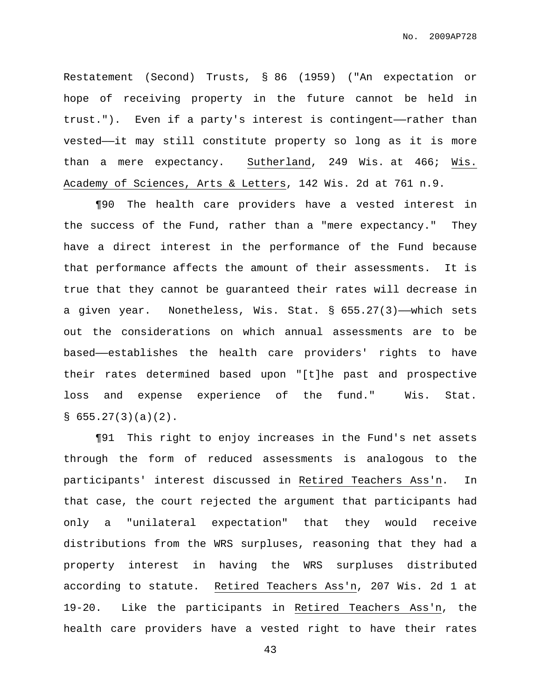Restatement (Second) Trusts, § 86 (1959) ("An expectation or hope of receiving property in the future cannot be held in trust."). Even if a party's interest is contingent——rather than vested——it may still constitute property so long as it is more than a mere expectancy. Sutherland, 249 Wis. at 466; Wis. Academy of Sciences, Arts & Letters, 142 Wis. 2d at 761 n.9.

¶90 The health care providers have a vested interest in the success of the Fund, rather than a "mere expectancy." They have a direct interest in the performance of the Fund because that performance affects the amount of their assessments. It is true that they cannot be guaranteed their rates will decrease in a given year. Nonetheless, Wis. Stat. § 655.27(3)——which sets out the considerations on which annual assessments are to be based——establishes the health care providers' rights to have their rates determined based upon "[t]he past and prospective loss and expense experience of the fund." Wis. Stat.  $\S$  655.27(3)(a)(2).

¶91 This right to enjoy increases in the Fund's net assets through the form of reduced assessments is analogous to the participants' interest discussed in Retired Teachers Ass'n. In that case, the court rejected the argument that participants had only a "unilateral expectation" that they would receive distributions from the WRS surpluses, reasoning that they had a property interest in having the WRS surpluses distributed according to statute. Retired Teachers Ass'n, 207 Wis. 2d 1 at 19-20. Like the participants in Retired Teachers Ass'n, the health care providers have a vested right to have their rates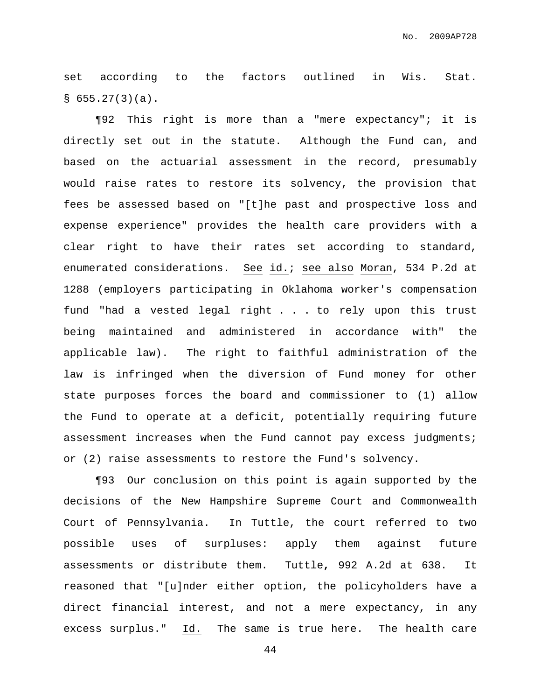set according to the factors outlined in Wis. Stat.  $§ 655.27(3)(a).$ 

¶92 This right is more than a "mere expectancy"; it is directly set out in the statute. Although the Fund can, and based on the actuarial assessment in the record, presumably would raise rates to restore its solvency, the provision that fees be assessed based on "[t]he past and prospective loss and expense experience" provides the health care providers with a clear right to have their rates set according to standard, enumerated considerations. See id.; see also Moran, 534 P.2d at 1288 (employers participating in Oklahoma worker's compensation fund "had a vested legal right . . . to rely upon this trust being maintained and administered in accordance with" the applicable law). The right to faithful administration of the law is infringed when the diversion of Fund money for other state purposes forces the board and commissioner to (1) allow the Fund to operate at a deficit, potentially requiring future assessment increases when the Fund cannot pay excess judgments; or (2) raise assessments to restore the Fund's solvency.

¶93 Our conclusion on this point is again supported by the decisions of the New Hampshire Supreme Court and Commonwealth Court of Pennsylvania. In Tuttle, the court referred to two possible uses of surpluses: apply them against future assessments or distribute them. Tuttle**,** 992 A.2d at 638. It reasoned that "[u]nder either option, the policyholders have a direct financial interest, and not a mere expectancy, in any excess surplus." Id. The same is true here. The health care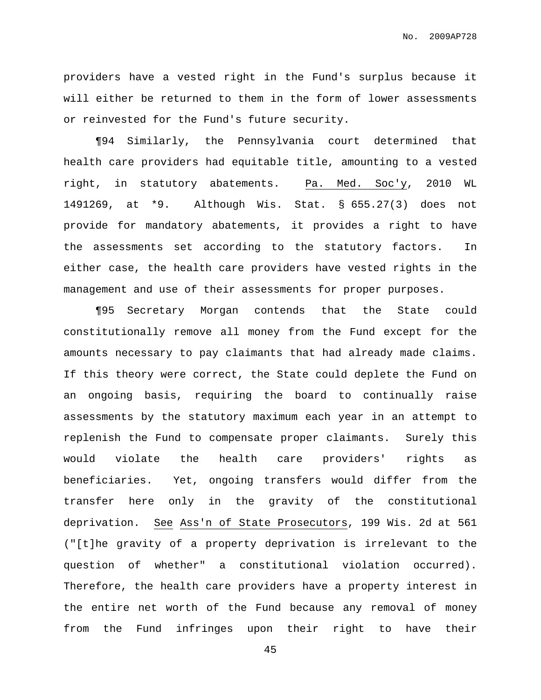No. 2009AP728

providers have a vested right in the Fund's surplus because it will either be returned to them in the form of lower assessments or reinvested for the Fund's future security.

¶94 Similarly, the Pennsylvania court determined that health care providers had equitable title, amounting to a vested right, in statutory abatements. Pa. Med. Soc'y, 2010 WL 1491269, at \*9. Although Wis. Stat. § 655.27(3) does not provide for mandatory abatements, it provides a right to have the assessments set according to the statutory factors. In either case, the health care providers have vested rights in the management and use of their assessments for proper purposes.

¶95 Secretary Morgan contends that the State could constitutionally remove all money from the Fund except for the amounts necessary to pay claimants that had already made claims. If this theory were correct, the State could deplete the Fund on an ongoing basis, requiring the board to continually raise assessments by the statutory maximum each year in an attempt to replenish the Fund to compensate proper claimants. Surely this would violate the health care providers' rights as beneficiaries. Yet, ongoing transfers would differ from the transfer here only in the gravity of the constitutional deprivation. See Ass'n of State Prosecutors, 199 Wis. 2d at 561 ("[t]he gravity of a property deprivation is irrelevant to the question of whether" a constitutional violation occurred). Therefore, the health care providers have a property interest in the entire net worth of the Fund because any removal of money from the Fund infringes upon their right to have their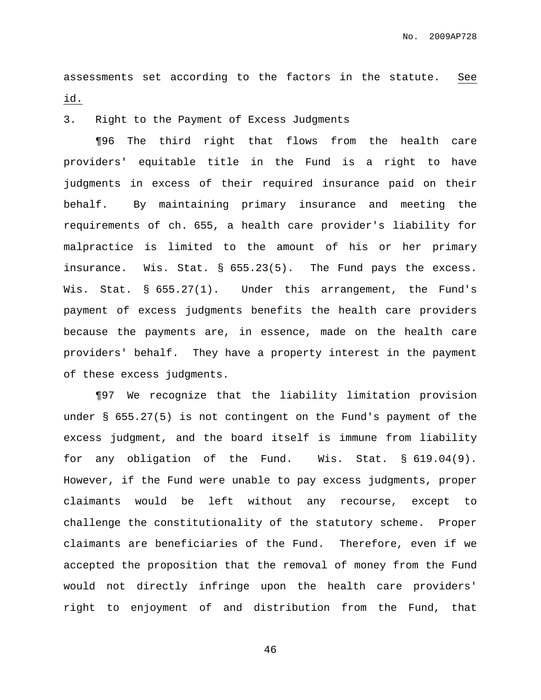assessments set according to the factors in the statute. See id.

3. Right to the Payment of Excess Judgments

¶96 The third right that flows from the health care providers' equitable title in the Fund is a right to have judgments in excess of their required insurance paid on their behalf. By maintaining primary insurance and meeting the requirements of ch. 655, a health care provider's liability for malpractice is limited to the amount of his or her primary insurance. Wis. Stat. § 655.23(5). The Fund pays the excess. Wis. Stat. § 655.27(1). Under this arrangement, the Fund's payment of excess judgments benefits the health care providers because the payments are, in essence, made on the health care providers' behalf. They have a property interest in the payment of these excess judgments.

¶97 We recognize that the liability limitation provision under § 655.27(5) is not contingent on the Fund's payment of the excess judgment, and the board itself is immune from liability for any obligation of the Fund. Wis. Stat. § 619.04(9). However, if the Fund were unable to pay excess judgments, proper claimants would be left without any recourse, except to challenge the constitutionality of the statutory scheme. Proper claimants are beneficiaries of the Fund. Therefore, even if we accepted the proposition that the removal of money from the Fund would not directly infringe upon the health care providers' right to enjoyment of and distribution from the Fund, that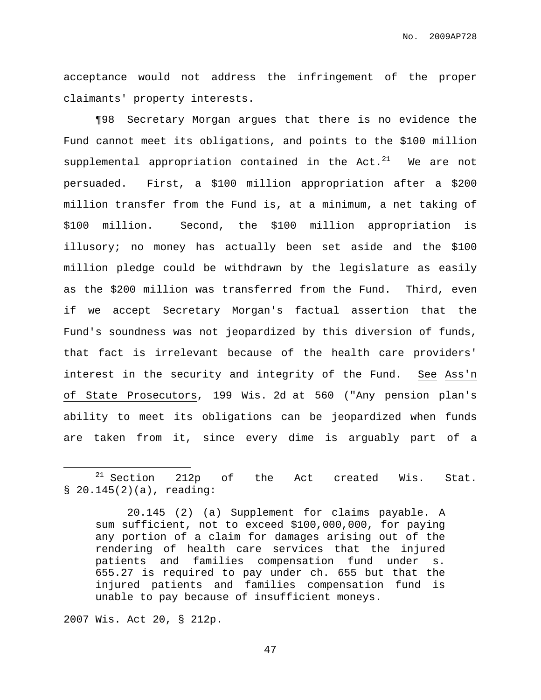acceptance would not address the infringement of the proper claimants' property interests.

¶98 Secretary Morgan argues that there is no evidence the Fund cannot meet its obligations, and points to the \$100 million supplemental appropriation contained in the Act. $^{21}$  We are not persuaded. First, a \$100 million appropriation after a \$200 million transfer from the Fund is, at a minimum, a net taking of \$100 million. Second, the \$100 million appropriation is illusory; no money has actually been set aside and the \$100 million pledge could be withdrawn by the legislature as easily as the \$200 million was transferred from the Fund. Third, even if we accept Secretary Morgan's factual assertion that the Fund's soundness was not jeopardized by this diversion of funds, that fact is irrelevant because of the health care providers' interest in the security and integrity of the Fund. See Ass'n of State Prosecutors, 199 Wis. 2d at 560 ("Any pension plan's ability to meet its obligations can be jeopardized when funds are taken from it, since every dime is arguably part of a

2007 Wis. Act 20, § 212p.

 $21$  Section 212p of the Act created Wis. Stat. § 20.145(2)(a), reading:

<sup>20.145</sup> (2) (a) Supplement for claims payable. A sum sufficient, not to exceed \$100,000,000, for paying any portion of a claim for damages arising out of the rendering of health care services that the injured patients and families compensation fund under s. 655.27 is required to pay under ch. 655 but that the injured patients and families compensation fund is unable to pay because of insufficient moneys.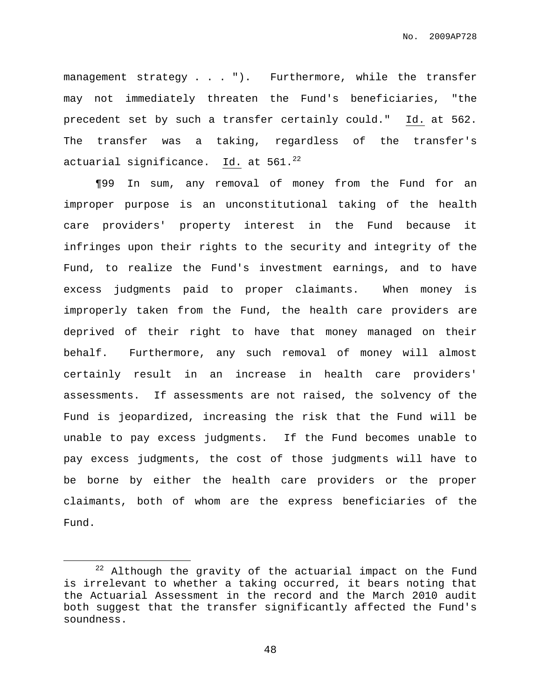management strategy . . . "). Furthermore, while the transfer may not immediately threaten the Fund's beneficiaries, "the precedent set by such a transfer certainly could." Id. at 562. The transfer was a taking, regardless of the transfer's actuarial significance. Id. at 561. $^{22}$ 

¶99 In sum, any removal of money from the Fund for an improper purpose is an unconstitutional taking of the health care providers' property interest in the Fund because it infringes upon their rights to the security and integrity of the Fund, to realize the Fund's investment earnings, and to have excess judgments paid to proper claimants. When money is improperly taken from the Fund, the health care providers are deprived of their right to have that money managed on their behalf. Furthermore, any such removal of money will almost certainly result in an increase in health care providers' assessments. If assessments are not raised, the solvency of the Fund is jeopardized, increasing the risk that the Fund will be unable to pay excess judgments. If the Fund becomes unable to pay excess judgments, the cost of those judgments will have to be borne by either the health care providers or the proper claimants, both of whom are the express beneficiaries of the Fund.

 $22$  Although the gravity of the actuarial impact on the Fund is irrelevant to whether a taking occurred, it bears noting that the Actuarial Assessment in the record and the March 2010 audit both suggest that the transfer significantly affected the Fund's soundness.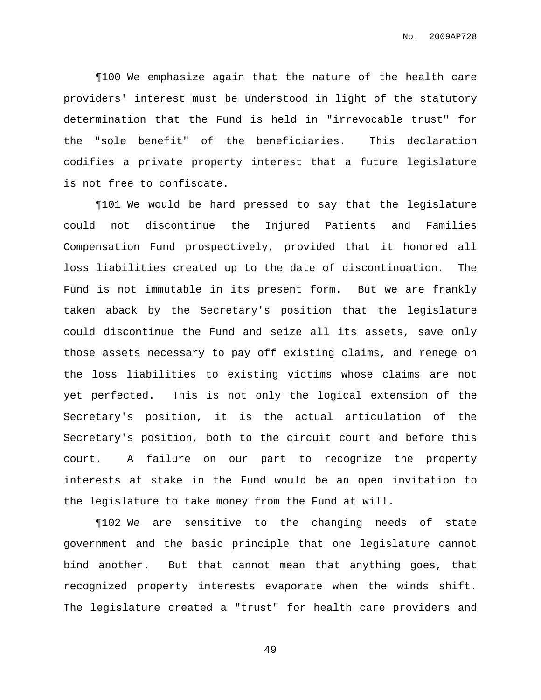¶100 We emphasize again that the nature of the health care providers' interest must be understood in light of the statutory determination that the Fund is held in "irrevocable trust" for the "sole benefit" of the beneficiaries. This declaration codifies a private property interest that a future legislature is not free to confiscate.

¶101 We would be hard pressed to say that the legislature could not discontinue the Injured Patients and Families Compensation Fund prospectively, provided that it honored all loss liabilities created up to the date of discontinuation. The Fund is not immutable in its present form. But we are frankly taken aback by the Secretary's position that the legislature could discontinue the Fund and seize all its assets, save only those assets necessary to pay off existing claims, and renege on the loss liabilities to existing victims whose claims are not yet perfected. This is not only the logical extension of the Secretary's position, it is the actual articulation of the Secretary's position, both to the circuit court and before this court. A failure on our part to recognize the property interests at stake in the Fund would be an open invitation to the legislature to take money from the Fund at will.

¶102 We are sensitive to the changing needs of state government and the basic principle that one legislature cannot bind another. But that cannot mean that anything goes, that recognized property interests evaporate when the winds shift. The legislature created a "trust" for health care providers and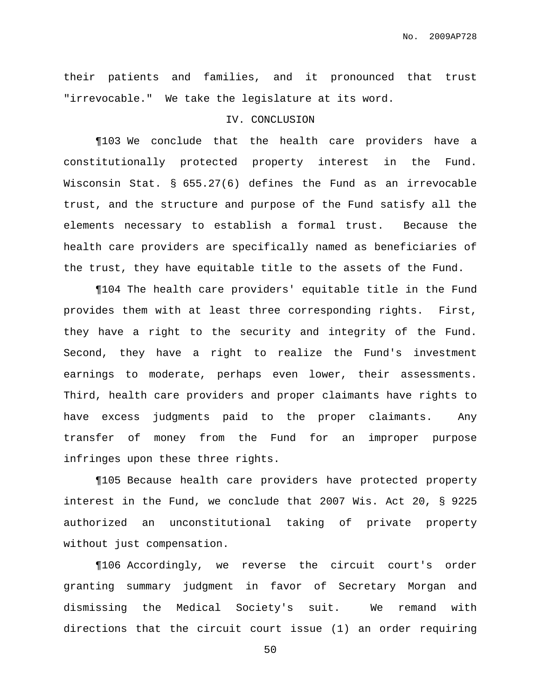their patients and families, and it pronounced that trust "irrevocable." We take the legislature at its word.

### IV. CONCLUSION

¶103 We conclude that the health care providers have a constitutionally protected property interest in the Fund. Wisconsin Stat. § 655.27(6) defines the Fund as an irrevocable trust, and the structure and purpose of the Fund satisfy all the elements necessary to establish a formal trust. Because the health care providers are specifically named as beneficiaries of the trust, they have equitable title to the assets of the Fund.

¶104 The health care providers' equitable title in the Fund provides them with at least three corresponding rights. First, they have a right to the security and integrity of the Fund. Second, they have a right to realize the Fund's investment earnings to moderate, perhaps even lower, their assessments. Third, health care providers and proper claimants have rights to have excess judgments paid to the proper claimants. Any transfer of money from the Fund for an improper purpose infringes upon these three rights.

¶105 Because health care providers have protected property interest in the Fund, we conclude that 2007 Wis. Act 20, § 9225 authorized an unconstitutional taking of private property without just compensation.

¶106 Accordingly, we reverse the circuit court's order granting summary judgment in favor of Secretary Morgan and dismissing the Medical Society's suit. We remand with directions that the circuit court issue (1) an order requiring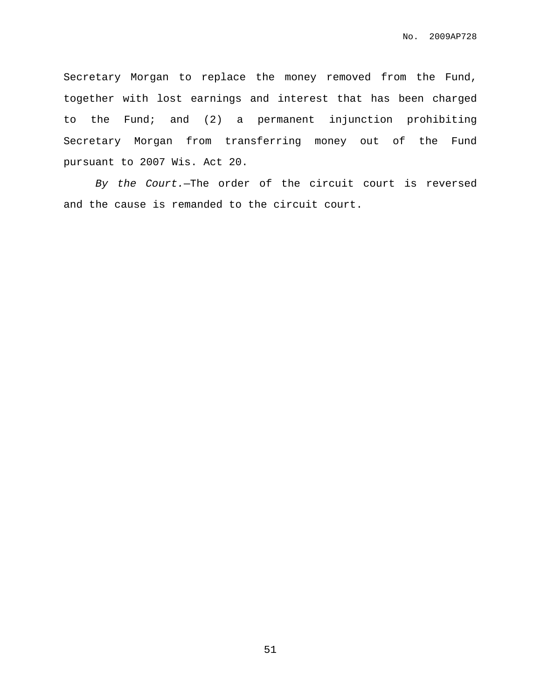Secretary Morgan to replace the money removed from the Fund, together with lost earnings and interest that has been charged to the Fund; and (2) a permanent injunction prohibiting Secretary Morgan from transferring money out of the Fund pursuant to 2007 Wis. Act 20.

By the Court.—The order of the circuit court is reversed and the cause is remanded to the circuit court.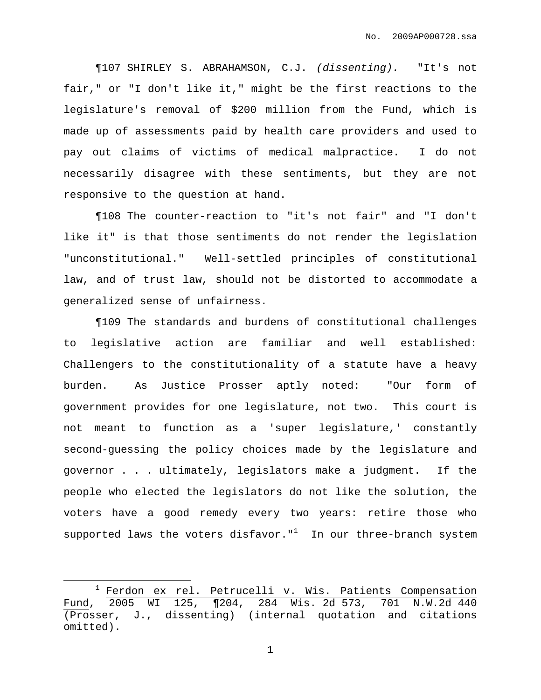¶107 SHIRLEY S. ABRAHAMSON, C.J. (dissenting). "It's not fair," or "I don't like it," might be the first reactions to the legislature's removal of \$200 million from the Fund, which is made up of assessments paid by health care providers and used to pay out claims of victims of medical malpractice. I do not necessarily disagree with these sentiments, but they are not responsive to the question at hand.

¶108 The counter-reaction to "it's not fair" and "I don't like it" is that those sentiments do not render the legislation "unconstitutional." Well-settled principles of constitutional law, and of trust law, should not be distorted to accommodate a generalized sense of unfairness.

¶109 The standards and burdens of constitutional challenges to legislative action are familiar and well established: Challengers to the constitutionality of a statute have a heavy burden. As Justice Prosser aptly noted: "Our form of government provides for one legislature, not two. This court is not meant to function as a 'super legislature,' constantly second-guessing the policy choices made by the legislature and governor . . . ultimately, legislators make a judgment. If the people who elected the legislators do not like the solution, the voters have a good remedy every two years: retire those who supported laws the voters disfavor." $^1$  In our three-branch system

<sup>&</sup>lt;sup>1</sup> Ferdon ex rel. Petrucelli v. Wis. Patients Compensation Fund, 2005 WI 125, ¶204, 284 Wis. 2d 573, 701 N.W.2d 440 (Prosser, J., dissenting) (internal quotation and citations omitted).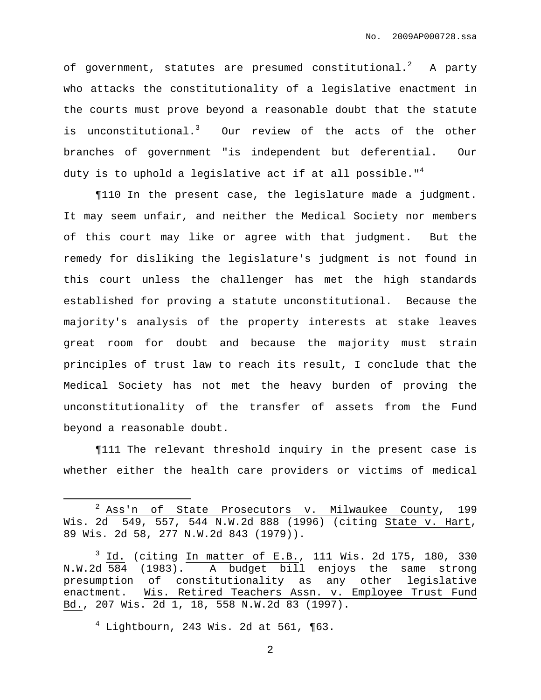of government, statutes are presumed constitutional. $^2$  A party who attacks the constitutionality of a legislative enactment in the courts must prove beyond a reasonable doubt that the statute is unconstitutional.<sup>3</sup> Our review of the acts of the other branches of government "is independent but deferential. Our duty is to uphold a legislative act if at all possible." 4

¶110 In the present case, the legislature made a judgment. It may seem unfair, and neither the Medical Society nor members of this court may like or agree with that judgment. But the remedy for disliking the legislature's judgment is not found in this court unless the challenger has met the high standards established for proving a statute unconstitutional. Because the majority's analysis of the property interests at stake leaves great room for doubt and because the majority must strain principles of trust law to reach its result, I conclude that the Medical Society has not met the heavy burden of proving the unconstitutionality of the transfer of assets from the Fund beyond a reasonable doubt.

¶111 The relevant threshold inquiry in the present case is whether either the health care providers or victims of medical

 $2$  Ass'n of State Prosecutors v. Milwaukee County, 199 Wis. 2d 549, 557, 544 N.W.2d 888 (1996) (citing State v. Hart, 89 Wis. 2d 58, 277 N.W.2d 843 (1979)).

 $3$  Id. (citing In matter of E.B., 111 Wis. 2d 175, 180, 330 N.W.2d 584 (1983). A budget bill enjoys the same strong presumption of constitutionality as any other legislative enactment. Wis. Retired Teachers Assn. v. Employee Trust Fund Bd., 207 Wis. 2d 1, 18, 558 N.W.2d 83 (1997).

 $4$  Lightbourn, 243 Wis. 2d at 561,  $\P$ 63.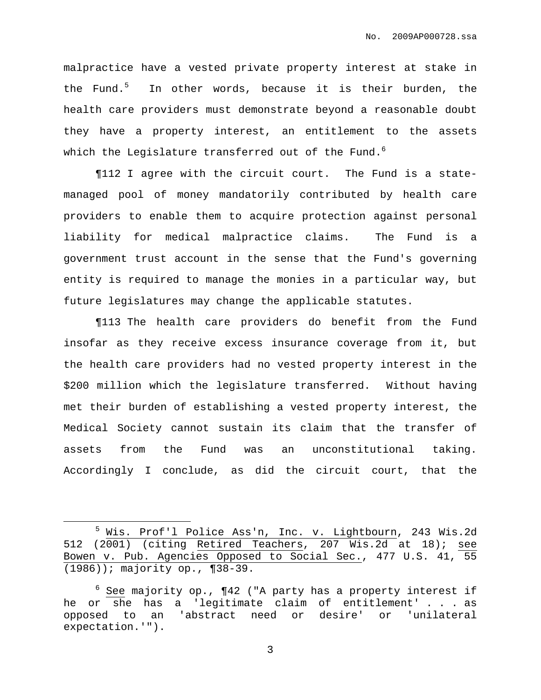malpractice have a vested private property interest at stake in the Fund.<sup>5</sup> In other words, because it is their burden, the health care providers must demonstrate beyond a reasonable doubt they have a property interest, an entitlement to the assets which the Legislature transferred out of the Fund. $^6$ 

¶112 I agree with the circuit court. The Fund is a statemanaged pool of money mandatorily contributed by health care providers to enable them to acquire protection against personal liability for medical malpractice claims. The Fund is a government trust account in the sense that the Fund's governing entity is required to manage the monies in a particular way, but future legislatures may change the applicable statutes.

¶113 The health care providers do benefit from the Fund insofar as they receive excess insurance coverage from it, but the health care providers had no vested property interest in the \$200 million which the legislature transferred. Without having met their burden of establishing a vested property interest, the Medical Society cannot sustain its claim that the transfer of assets from the Fund was an unconstitutional taking. Accordingly I conclude, as did the circuit court, that the

<sup>5</sup> Wis. Prof'l Police Ass'n, Inc. v. Lightbourn, 243 Wis.2d 512 (2001) (citing Retired Teachers, 207 Wis.2d at 18); see Bowen v. Pub. Agencies Opposed to Social Sec., 477 U.S. 41, 55 (1986)); majority op., ¶38-39.

 $6$  See majority op.,  $\P42$  ("A party has a property interest if he or she has a 'legitimate claim of entitlement' . . . as opposed to an 'abstract need or desire' or 'unilateral expectation.'").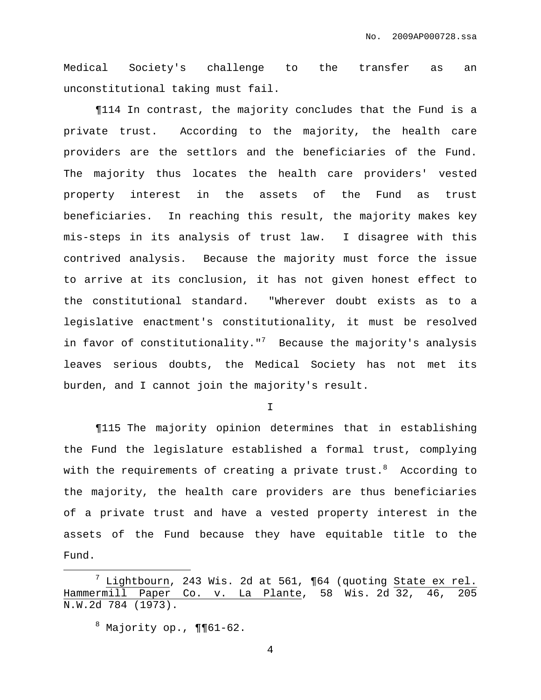Medical Society's challenge to the transfer as an unconstitutional taking must fail.

¶114 In contrast, the majority concludes that the Fund is a private trust. According to the majority, the health care providers are the settlors and the beneficiaries of the Fund. The majority thus locates the health care providers' vested property interest in the assets of the Fund as trust beneficiaries. In reaching this result, the majority makes key mis-steps in its analysis of trust law. I disagree with this contrived analysis. Because the majority must force the issue to arrive at its conclusion, it has not given honest effect to the constitutional standard. "Wherever doubt exists as to a legislative enactment's constitutionality, it must be resolved in favor of constitutionality." $7$  Because the majority's analysis leaves serious doubts, the Medical Society has not met its burden, and I cannot join the majority's result.

I

¶115 The majority opinion determines that in establishing the Fund the legislature established a formal trust, complying with the requirements of creating a private trust. $^8$  According to the majority, the health care providers are thus beneficiaries of a private trust and have a vested property interest in the assets of the Fund because they have equitable title to the Fund.

Lightbourn, 243 Wis. 2d at 561, ¶64 (quoting State ex rel. Hammermill Paper Co. v. La Plante, 58 Wis. 2d 32, 46, 205 N.W.2d 784 (1973).

 $8$  Majority op.,  $\P\P61-62$ .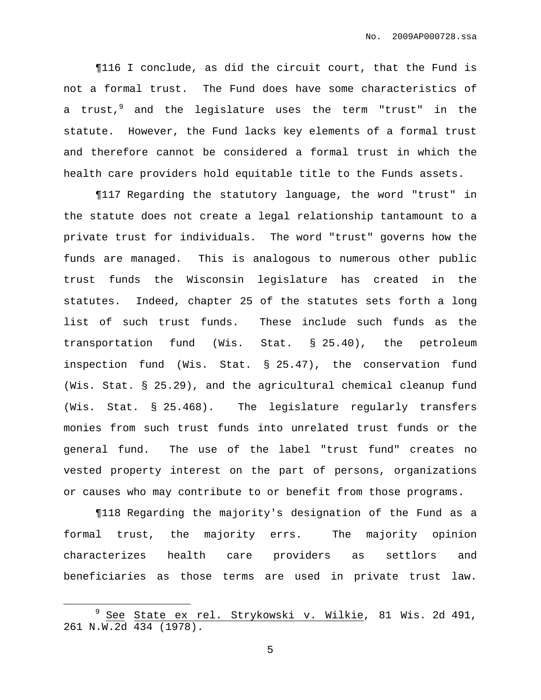¶116 I conclude, as did the circuit court, that the Fund is not a formal trust. The Fund does have some characteristics of a trust,<sup>9</sup> and the legislature uses the term "trust" in the statute. However, the Fund lacks key elements of a formal trust and therefore cannot be considered a formal trust in which the health care providers hold equitable title to the Funds assets.

¶117 Regarding the statutory language, the word "trust" in the statute does not create a legal relationship tantamount to a private trust for individuals. The word "trust" governs how the funds are managed. This is analogous to numerous other public trust funds the Wisconsin legislature has created in the statutes. Indeed, chapter 25 of the statutes sets forth a long list of such trust funds. These include such funds as the transportation fund (Wis. Stat. § 25.40), the petroleum inspection fund (Wis. Stat. § 25.47), the conservation fund (Wis. Stat. § 25.29), and the agricultural chemical cleanup fund (Wis. Stat. § 25.468). The legislature regularly transfers monies from such trust funds into unrelated trust funds or the general fund. The use of the label "trust fund" creates no vested property interest on the part of persons, organizations or causes who may contribute to or benefit from those programs.

¶118 Regarding the majority's designation of the Fund as a formal trust, the majority errs. The majority opinion characterizes health care providers as settlors and beneficiaries as those terms are used in private trust law.

<sup>9</sup> See State ex rel. Strykowski v. Wilkie, 81 Wis. 2d 491, 261 N.W.2d 434 (1978).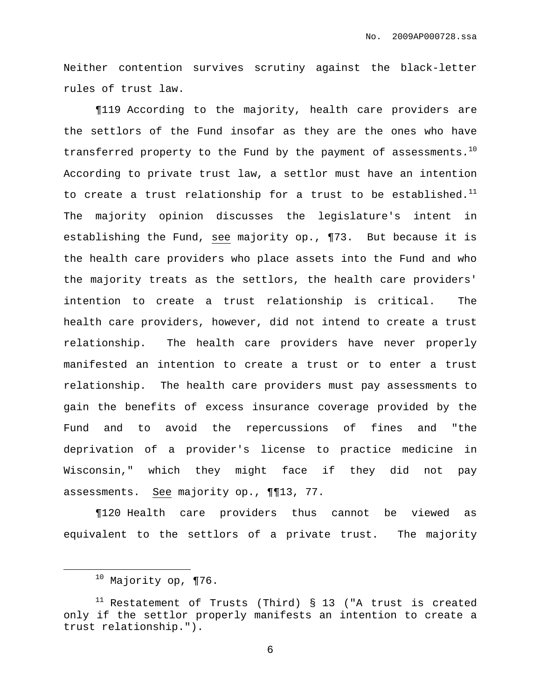Neither contention survives scrutiny against the black-letter rules of trust law.

¶119 According to the majority, health care providers are the settlors of the Fund insofar as they are the ones who have transferred property to the Fund by the payment of assessments. $^{10}$ According to private trust law, a settlor must have an intention to create a trust relationship for a trust to be established. $^{11}$ The majority opinion discusses the legislature's intent in establishing the Fund, see majority op., ¶73. But because it is the health care providers who place assets into the Fund and who the majority treats as the settlors, the health care providers' intention to create a trust relationship is critical. The health care providers, however, did not intend to create a trust relationship. The health care providers have never properly manifested an intention to create a trust or to enter a trust relationship. The health care providers must pay assessments to gain the benefits of excess insurance coverage provided by the Fund and to avoid the repercussions of fines and "the deprivation of a provider's license to practice medicine in Wisconsin," which they might face if they did not pay assessments. See majority op., ¶¶13, 77.

¶120 Health care providers thus cannot be viewed as equivalent to the settlors of a private trust. The majority

 $10$  Majority op, ¶76.

 $11$  Restatement of Trusts (Third) § 13 ("A trust is created only if the settlor properly manifests an intention to create a trust relationship.").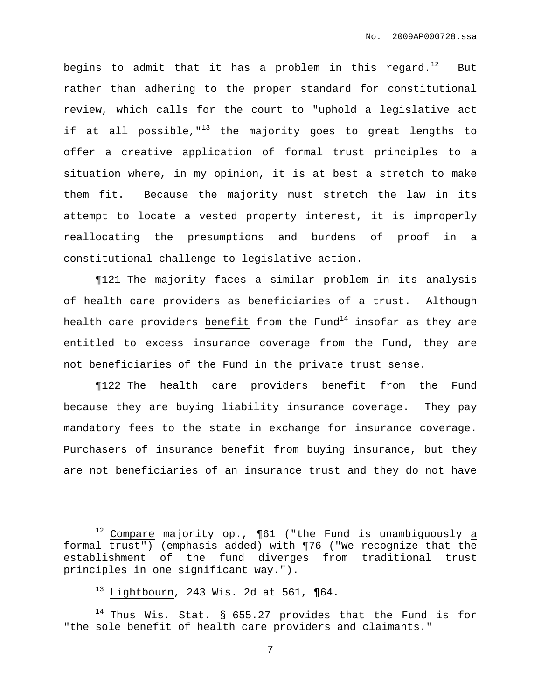begins to admit that it has a problem in this regard. $^{12}$  But rather than adhering to the proper standard for constitutional review, which calls for the court to "uphold a legislative act if at all possible,"<sup>13</sup> the majority goes to great lengths to offer a creative application of formal trust principles to a situation where, in my opinion, it is at best a stretch to make them fit. Because the majority must stretch the law in its attempt to locate a vested property interest, it is improperly reallocating the presumptions and burdens of proof in a constitutional challenge to legislative action.

¶121 The majority faces a similar problem in its analysis of health care providers as beneficiaries of a trust. Although health care providers benefit from the Fund $^{\rm 14}$  insofar as they are entitled to excess insurance coverage from the Fund, they are not beneficiaries of the Fund in the private trust sense.

¶122 The health care providers benefit from the Fund because they are buying liability insurance coverage. They pay mandatory fees to the state in exchange for insurance coverage. Purchasers of insurance benefit from buying insurance, but they are not beneficiaries of an insurance trust and they do not have

 $12$  Compare majority op.,  $\P61$  ("the Fund is unambiguously a formal trust") (emphasis added) with ¶76 ("We recognize that the establishment of the fund diverges from traditional trust principles in one significant way.").

 $13$  Lightbourn, 243 Wis. 2d at 561, ¶64.

 $14$  Thus Wis. Stat. § 655.27 provides that the Fund is for "the sole benefit of health care providers and claimants."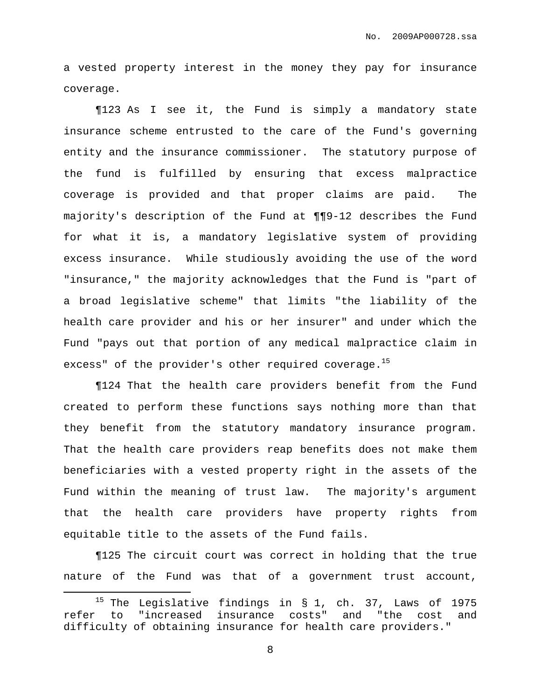a vested property interest in the money they pay for insurance coverage.

¶123 As I see it, the Fund is simply a mandatory state insurance scheme entrusted to the care of the Fund's governing entity and the insurance commissioner. The statutory purpose of the fund is fulfilled by ensuring that excess malpractice coverage is provided and that proper claims are paid. The majority's description of the Fund at ¶¶9-12 describes the Fund for what it is, a mandatory legislative system of providing excess insurance. While studiously avoiding the use of the word "insurance," the majority acknowledges that the Fund is "part of a broad legislative scheme" that limits "the liability of the health care provider and his or her insurer" and under which the Fund "pays out that portion of any medical malpractice claim in excess" of the provider's other required coverage.<sup>15</sup>

¶124 That the health care providers benefit from the Fund created to perform these functions says nothing more than that they benefit from the statutory mandatory insurance program. That the health care providers reap benefits does not make them beneficiaries with a vested property right in the assets of the Fund within the meaning of trust law. The majority's argument that the health care providers have property rights from equitable title to the assets of the Fund fails.

¶125 The circuit court was correct in holding that the true nature of the Fund was that of a government trust account,

<sup>&</sup>lt;sup>15</sup> The Legislative findings in  $\S$  1, ch. 37, Laws of 1975 refer to "increased insurance costs" and "the cost and difficulty of obtaining insurance for health care providers."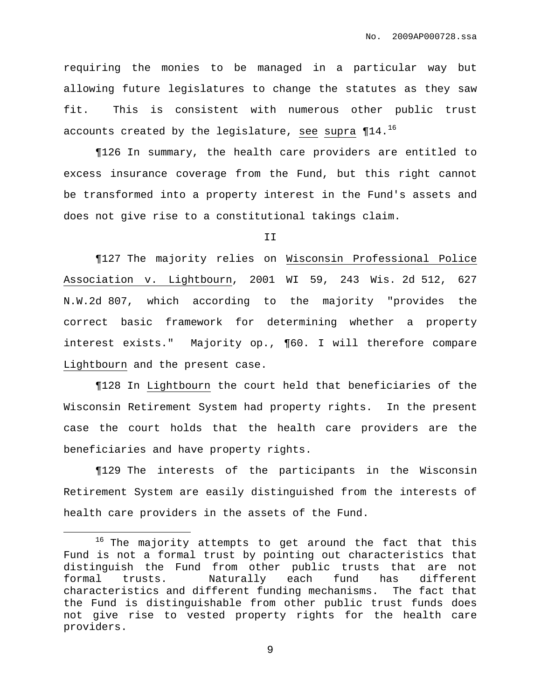requiring the monies to be managed in a particular way but allowing future legislatures to change the statutes as they saw fit. This is consistent with numerous other public trust accounts created by the legislature, see supra  $\P{14.}^{16}$ 

¶126 In summary, the health care providers are entitled to excess insurance coverage from the Fund, but this right cannot be transformed into a property interest in the Fund's assets and does not give rise to a constitutional takings claim.

II

¶127 The majority relies on Wisconsin Professional Police Association v. Lightbourn, 2001 WI 59, 243 Wis. 2d 512, 627 N.W.2d 807, which according to the majority "provides the correct basic framework for determining whether a property interest exists." Majority op., ¶60. I will therefore compare Lightbourn and the present case.

¶128 In Lightbourn the court held that beneficiaries of the Wisconsin Retirement System had property rights. In the present case the court holds that the health care providers are the beneficiaries and have property rights.

¶129 The interests of the participants in the Wisconsin Retirement System are easily distinguished from the interests of health care providers in the assets of the Fund.

<sup>&</sup>lt;sup>16</sup> The majority attempts to get around the fact that this Fund is not a formal trust by pointing out characteristics that distinguish the Fund from other public trusts that are not formal trusts. Naturally each fund has different characteristics and different funding mechanisms. The fact that the Fund is distinguishable from other public trust funds does not give rise to vested property rights for the health care providers.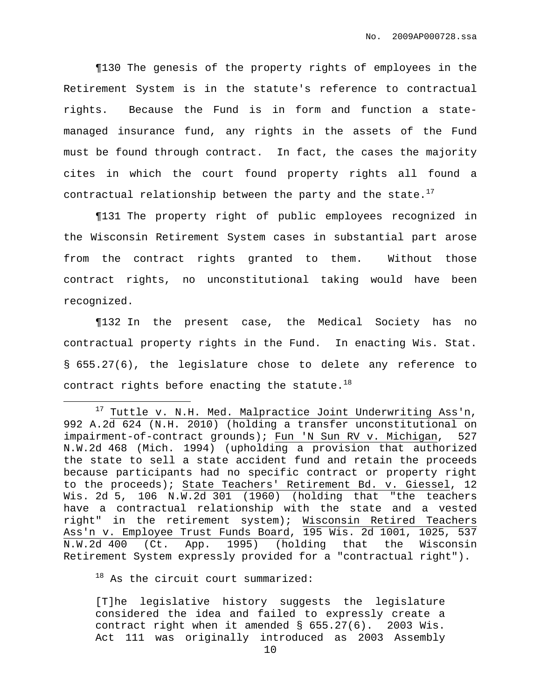¶130 The genesis of the property rights of employees in the Retirement System is in the statute's reference to contractual rights. Because the Fund is in form and function a statemanaged insurance fund, any rights in the assets of the Fund must be found through contract. In fact, the cases the majority cites in which the court found property rights all found a contractual relationship between the party and the state.<sup>17</sup>

¶131 The property right of public employees recognized in the Wisconsin Retirement System cases in substantial part arose from the contract rights granted to them. Without those contract rights, no unconstitutional taking would have been recognized.

¶132 In the present case, the Medical Society has no contractual property rights in the Fund. In enacting Wis. Stat. § 655.27(6), the legislature chose to delete any reference to contract rights before enacting the statute. $^{18}$ 

 $18$  As the circuit court summarized:

[T]he legislative history suggests the legislature considered the idea and failed to expressly create a contract right when it amended § 655.27(6). 2003 Wis. Act 111 was originally introduced as 2003 Assembly

 $17$  Tuttle v. N.H. Med. Malpractice Joint Underwriting Ass'n, 992 A.2d 624 (N.H. 2010) (holding a transfer unconstitutional on impairment-of-contract grounds); Fun 'N Sun RV v. Michigan, 527 N.W.2d 468 (Mich. 1994) (upholding a provision that authorized the state to sell a state accident fund and retain the proceeds because participants had no specific contract or property right to the proceeds); State Teachers' Retirement Bd. v. Giessel, 12 Wis. 2d 5, 106 N.W.2d 301 (1960) (holding that "the teachers have a contractual relationship with the state and a vested right" in the retirement system); Wisconsin Retired Teachers Ass'n v. Employee Trust Funds Board, 195 Wis. 2d 1001, 1025, 537 N.W.2d 400 (Ct. App. 1995) (holding that the Wisconsin Retirement System expressly provided for a "contractual right").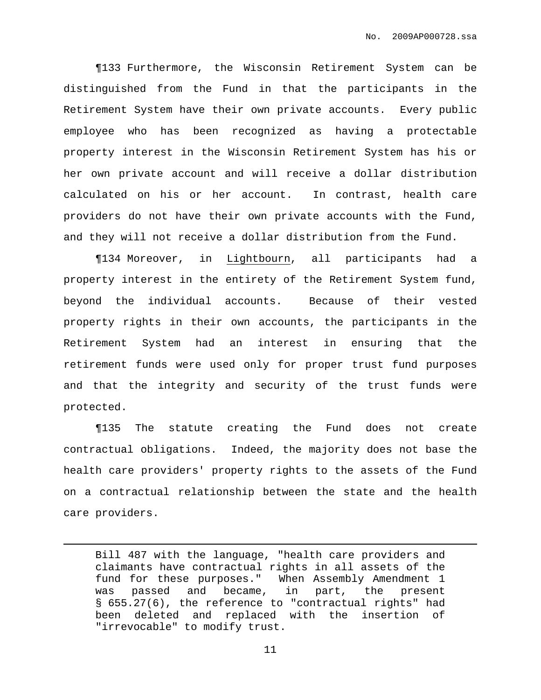¶133 Furthermore, the Wisconsin Retirement System can be distinguished from the Fund in that the participants in the Retirement System have their own private accounts. Every public employee who has been recognized as having a protectable property interest in the Wisconsin Retirement System has his or her own private account and will receive a dollar distribution calculated on his or her account. In contrast, health care providers do not have their own private accounts with the Fund, and they will not receive a dollar distribution from the Fund.

¶134 Moreover, in Lightbourn, all participants had a property interest in the entirety of the Retirement System fund, beyond the individual accounts. Because of their vested property rights in their own accounts, the participants in the Retirement System had an interest in ensuring that the retirement funds were used only for proper trust fund purposes and that the integrity and security of the trust funds were protected.

¶135 The statute creating the Fund does not create contractual obligations. Indeed, the majority does not base the health care providers' property rights to the assets of the Fund on a contractual relationship between the state and the health care providers.

Bill 487 with the language, "health care providers and claimants have contractual rights in all assets of the fund for these purposes." When Assembly Amendment 1 was passed and became, in part, the present § 655.27(6), the reference to "contractual rights" had been deleted and replaced with the insertion of "irrevocable" to modify trust.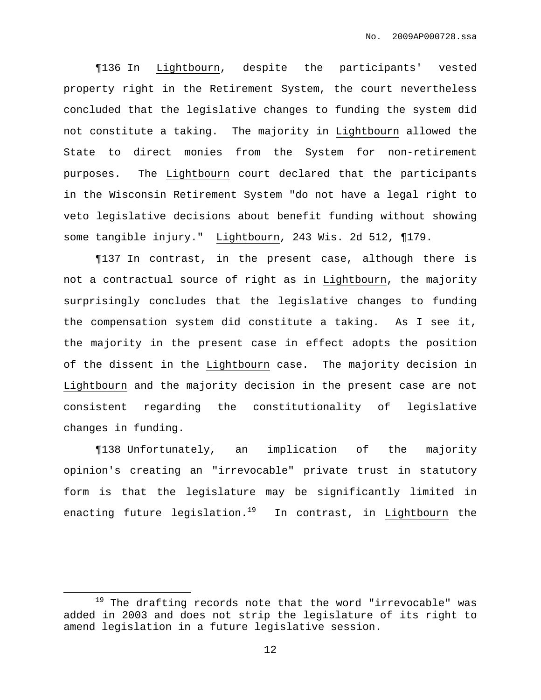¶136 In Lightbourn, despite the participants' vested property right in the Retirement System, the court nevertheless concluded that the legislative changes to funding the system did not constitute a taking. The majority in Lightbourn allowed the State to direct monies from the System for non-retirement purposes. The Lightbourn court declared that the participants in the Wisconsin Retirement System "do not have a legal right to veto legislative decisions about benefit funding without showing some tangible injury." Lightbourn, 243 Wis. 2d 512, ¶179.

¶137 In contrast, in the present case, although there is not a contractual source of right as in Lightbourn, the majority surprisingly concludes that the legislative changes to funding the compensation system did constitute a taking. As I see it, the majority in the present case in effect adopts the position of the dissent in the Lightbourn case. The majority decision in Lightbourn and the majority decision in the present case are not consistent regarding the constitutionality of legislative changes in funding.

¶138 Unfortunately, an implication of the majority opinion's creating an "irrevocable" private trust in statutory form is that the legislature may be significantly limited in enacting future legislation.<sup>19</sup> In contrast, in Lightbourn the

 $19$  The drafting records note that the word "irrevocable" was added in 2003 and does not strip the legislature of its right to amend legislation in a future legislative session.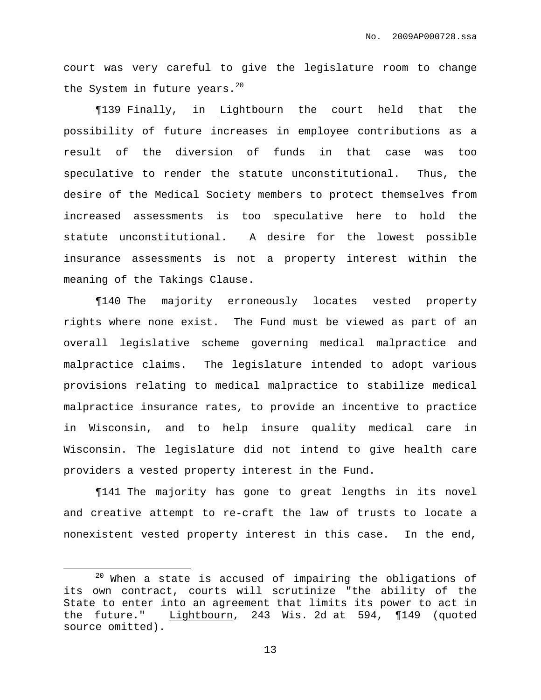court was very careful to give the legislature room to change the System in future years.<sup>20</sup>

¶139 Finally, in Lightbourn the court held that the possibility of future increases in employee contributions as a result of the diversion of funds in that case was too speculative to render the statute unconstitutional. Thus, the desire of the Medical Society members to protect themselves from increased assessments is too speculative here to hold the statute unconstitutional. A desire for the lowest possible insurance assessments is not a property interest within the meaning of the Takings Clause.

¶140 The majority erroneously locates vested property rights where none exist. The Fund must be viewed as part of an overall legislative scheme governing medical malpractice and malpractice claims. The legislature intended to adopt various provisions relating to medical malpractice to stabilize medical malpractice insurance rates, to provide an incentive to practice in Wisconsin, and to help insure quality medical care in Wisconsin. The legislature did not intend to give health care providers a vested property interest in the Fund.

¶141 The majority has gone to great lengths in its novel and creative attempt to re-craft the law of trusts to locate a nonexistent vested property interest in this case. In the end,

 $20$  When a state is accused of impairing the obligations of its own contract, courts will scrutinize "the ability of the State to enter into an agreement that limits its power to act in the future." Lightbourn, 243 Wis. 2d at 594, ¶149 (quoted source omitted).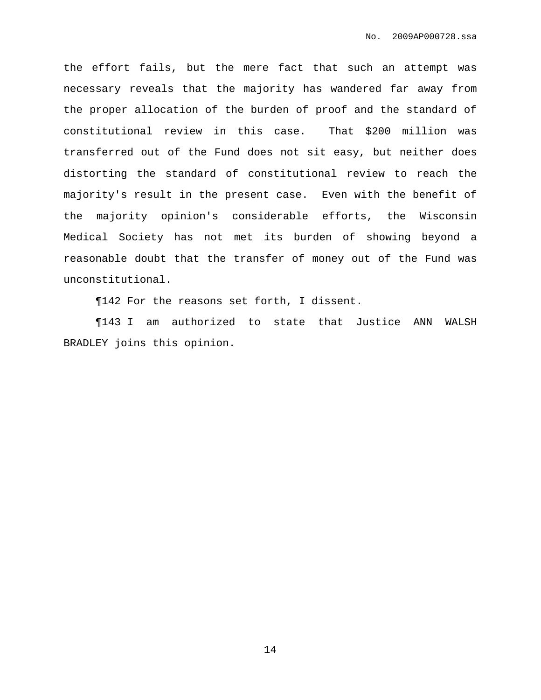the effort fails, but the mere fact that such an attempt was necessary reveals that the majority has wandered far away from the proper allocation of the burden of proof and the standard of constitutional review in this case. That \$200 million was transferred out of the Fund does not sit easy, but neither does distorting the standard of constitutional review to reach the majority's result in the present case. Even with the benefit of the majority opinion's considerable efforts, the Wisconsin Medical Society has not met its burden of showing beyond a reasonable doubt that the transfer of money out of the Fund was unconstitutional.

¶142 For the reasons set forth, I dissent.

¶143 I am authorized to state that Justice ANN WALSH BRADLEY joins this opinion.